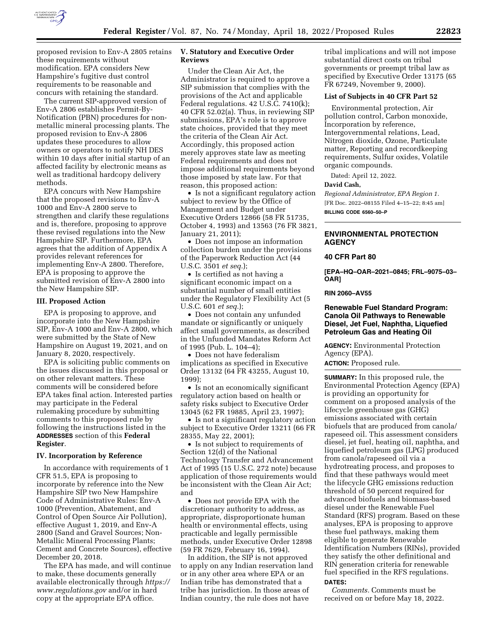

proposed revision to Env-A 2805 retains these requirements without modification. EPA considers New Hampshire's fugitive dust control requirements to be reasonable and concurs with retaining the standard.

The current SIP-approved version of Env-A 2806 establishes Permit-By-Notification (PBN) procedures for nonmetallic mineral processing plants. The proposed revision to Env-A 2806 updates these procedures to allow owners or operators to notify NH DES within 10 days after initial startup of an affected facility by electronic means as well as traditional hardcopy delivery methods.

EPA concurs with New Hampshire that the proposed revisions to Env-A 1000 and Env-A 2800 serve to strengthen and clarify these regulations and is, therefore, proposing to approve these revised regulations into the New Hampshire SIP. Furthermore, EPA agrees that the addition of Appendix A provides relevant references for implementing Env-A 2800. Therefore, EPA is proposing to approve the submitted revision of Env-A 2800 into the New Hampshire SIP.

## **III. Proposed Action**

EPA is proposing to approve, and incorporate into the New Hampshire SIP, Env-A 1000 and Env-A 2800, which were submitted by the State of New Hampshire on August 19, 2021, and on January 8, 2020, respectively.

EPA is soliciting public comments on the issues discussed in this proposal or on other relevant matters. These comments will be considered before EPA takes final action. Interested parties may participate in the Federal rulemaking procedure by submitting comments to this proposed rule by following the instructions listed in the **ADDRESSES** section of this **Federal Register**.

#### **IV. Incorporation by Reference**

In accordance with requirements of 1 CFR 51.5, EPA is proposing to incorporate by reference into the New Hampshire SIP two New Hampshire Code of Administrative Rules: Env-A 1000 (Prevention, Abatement, and Control of Open Source Air Pollution), effective August 1, 2019, and Env-A 2800 (Sand and Gravel Sources; Non-Metallic Mineral Processing Plants; Cement and Concrete Sources), effective December 20, 2018.

The EPA has made, and will continue to make, these documents generally available electronically through *[https://](https://www.regulations.gov)  [www.regulations.gov](https://www.regulations.gov)* and/or in hard copy at the appropriate EPA office.

## **V. Statutory and Executive Order Reviews**

Under the Clean Air Act, the Administrator is required to approve a SIP submission that complies with the provisions of the Act and applicable Federal regulations. 42 U.S.C. 7410(k); 40 CFR 52.02(a). Thus, in reviewing SIP submissions, EPA's role is to approve state choices, provided that they meet the criteria of the Clean Air Act. Accordingly, this proposed action merely approves state law as meeting Federal requirements and does not impose additional requirements beyond those imposed by state law. For that reason, this proposed action:

• Is not a significant regulatory action subject to review by the Office of Management and Budget under Executive Orders 12866 (58 FR 51735, October 4, 1993) and 13563 (76 FR 3821, January 21, 2011);

• Does not impose an information collection burden under the provisions of the Paperwork Reduction Act (44 U.S.C. 3501 *et seq.*);

• Is certified as not having a significant economic impact on a substantial number of small entities under the Regulatory Flexibility Act (5 U.S.C. 601 *et seq.*);

• Does not contain any unfunded mandate or significantly or uniquely affect small governments, as described in the Unfunded Mandates Reform Act of 1995 (Pub. L. 104–4);

• Does not have federalism implications as specified in Executive Order 13132 (64 FR 43255, August 10, 1999);

• Is not an economically significant regulatory action based on health or safety risks subject to Executive Order 13045 (62 FR 19885, April 23, 1997);

• Is not a significant regulatory action subject to Executive Order 13211 (66 FR 28355, May 22, 2001);

• Is not subject to requirements of Section 12(d) of the National Technology Transfer and Advancement Act of 1995 (15 U.S.C. 272 note) because application of those requirements would be inconsistent with the Clean Air Act; and

• Does not provide EPA with the discretionary authority to address, as appropriate, disproportionate human health or environmental effects, using practicable and legally permissible methods, under Executive Order 12898 (59 FR 7629, February 16, 1994).

In addition, the SIP is not approved to apply on any Indian reservation land or in any other area where EPA or an Indian tribe has demonstrated that a tribe has jurisdiction. In those areas of Indian country, the rule does not have

tribal implications and will not impose substantial direct costs on tribal governments or preempt tribal law as specified by Executive Order 13175 (65 FR 67249, November 9, 2000).

### **List of Subjects in 40 CFR Part 52**

Environmental protection, Air pollution control, Carbon monoxide, Incorporation by reference, Intergovernmental relations, Lead, Nitrogen dioxide, Ozone, Particulate matter, Reporting and recordkeeping requirements, Sulfur oxides, Volatile organic compounds.

Dated: April 12, 2022.

#### **David Cash,**

*Regional Administrator, EPA Region 1.*  [FR Doc. 2022–08155 Filed 4–15–22; 8:45 am] **BILLING CODE 6560–50–P** 

## **ENVIRONMENTAL PROTECTION AGENCY**

#### **40 CFR Part 80**

**[EPA–HQ–OAR–2021–0845; FRL–9075–03– OAR]** 

#### **RIN 2060–AV55**

## **Renewable Fuel Standard Program: Canola Oil Pathways to Renewable Diesel, Jet Fuel, Naphtha, Liquefied Petroleum Gas and Heating Oil**

**AGENCY:** Environmental Protection Agency (EPA).

**ACTION:** Proposed rule.

**SUMMARY:** In this proposed rule, the Environmental Protection Agency (EPA) is providing an opportunity for comment on a proposed analysis of the lifecycle greenhouse gas (GHG) emissions associated with certain biofuels that are produced from canola/ rapeseed oil. This assessment considers diesel, jet fuel, heating oil, naphtha, and liquefied petroleum gas (LPG) produced from canola/rapeseed oil via a hydrotreating process, and proposes to find that these pathways would meet the lifecycle GHG emissions reduction threshold of 50 percent required for advanced biofuels and biomass-based diesel under the Renewable Fuel Standard (RFS) program. Based on these analyses, EPA is proposing to approve these fuel pathways, making them eligible to generate Renewable Identification Numbers (RINs), provided they satisfy the other definitional and RIN generation criteria for renewable fuel specified in the RFS regulations. **DATES:**

*Comments.* Comments must be received on or before May 18, 2022.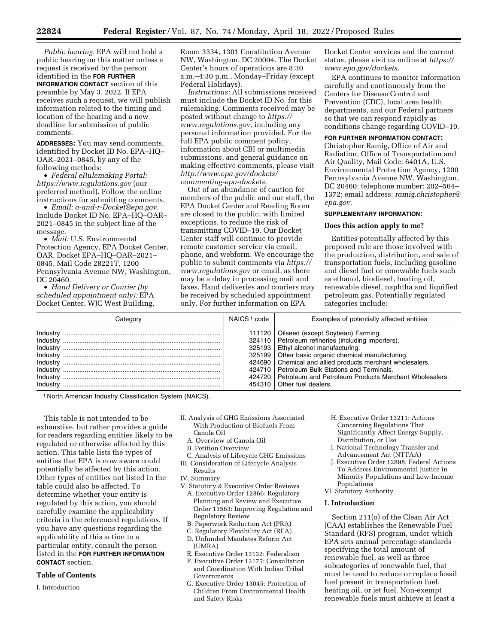*Public hearing.* EPA will not hold a public hearing on this matter unless a request is received by the person identified in the **FOR FURTHER INFORMATION CONTACT** section of this preamble by May 3, 2022. If EPA receives such a request, we will publish information related to the timing and location of the hearing and a new deadline for submission of public comments.

**ADDRESSES:** You may send comments, identified by Docket ID No. EPA–HQ– OAR–2021–0845, by any of the following methods:

• *Federal eRulemaking Portal: <https://www.regulations.gov>* (our preferred method). Follow the online instructions for submitting comments.

• *Email: [a-and-r-Docket@epa.gov.](mailto:a-and-r-Docket@epa.gov)*  Include Docket ID No. EPA–HQ–OAR– 2021–0845 in the subject line of the message.

• *Mail:* U.S. Environmental Protection Agency, EPA Docket Center, OAR, Docket EPA–HQ–OAR–2021– 0845, Mail Code 28221T, 1200 Pennsylvania Avenue NW, Washington, DC 20460.

• *Hand Delivery or Courier (by scheduled appointment only):* EPA Docket Center, WJC West Building, Room 3334, 1301 Constitution Avenue NW, Washington, DC 20004. The Docket Center's hours of operations are 8:30 a.m.–4:30 p.m., Monday–Friday (except Federal Holidays).

*Instructions:* All submissions received must include the Docket ID No. for this rulemaking. Comments received may be posted without change to *[https://](https://www.regulations.gov) [www.regulations.gov,](https://www.regulations.gov)* including any personal information provided. For the full EPA public comment policy, information about CBI or multimedia submissions, and general guidance on making effective comments, please visit *[http://www.epa.gov/dockets/](http://www.epa.gov/dockets/commenting-epa-dockets)  [commenting-epa-dockets.](http://www.epa.gov/dockets/commenting-epa-dockets)* 

Out of an abundance of caution for members of the public and our staff, the EPA Docket Center and Reading Room are closed to the public, with limited exceptions, to reduce the risk of transmitting COVID–19. Our Docket Center staff will continue to provide remote customer service via email, phone, and webform. We encourage the public to submit comments via *[https://](https://www.regulations.gov)  [www.regulations.gov](https://www.regulations.gov)* or email, as there may be a delay in processing mail and faxes. Hand deliveries and couriers may be received by scheduled appointment only. For further information on EPA

Docket Center services and the current status, please visit us online at *[https://](https://www.epa.gov/dockets) [www.epa.gov/dockets.](https://www.epa.gov/dockets)* 

EPA continues to monitor information carefully and continuously from the Centers for Disease Control and Prevention (CDC), local area health departments, and our Federal partners so that we can respond rapidly as conditions change regarding COVID–19.

## **FOR FURTHER INFORMATION CONTACT:**

Christopher Ramig, Office of Air and Radiation, Office of Transportation and Air Quality, Mail Code: 6401A, U.S. Environmental Protection Agency, 1200 Pennsylvania Avenue NW, Washington, DC 20460; telephone number: 202–564– 1372; email address: *[ramig.christopher@](mailto:ramig.christopher@epa.gov) [epa.gov.](mailto:ramig.christopher@epa.gov)* 

#### **SUPPLEMENTARY INFORMATION:**

#### **Does this action apply to me?**

Entities potentially affected by this proposed rule are those involved with the production, distribution, and sale of transportation fuels, including gasoline and diesel fuel or renewable fuels such as ethanol, biodiesel, heating oil, renewable diesel, naphtha and liquified petroleum gas. Potentially regulated categories include:

| Categorv | NAICS <sup>1</sup> code | Examples of potentially affected entities                                                                                                                                                                                                                                                                                                                                                                            |
|----------|-------------------------|----------------------------------------------------------------------------------------------------------------------------------------------------------------------------------------------------------------------------------------------------------------------------------------------------------------------------------------------------------------------------------------------------------------------|
|          |                         | 111120   Oilseed (except Soybean) Farming.<br>324110   Petroleum refineries (including importers).<br>325193   Ethyl alcohol manufacturing.<br>325199   Other basic organic chemical manufacturing.<br>424690   Chemical and allied products merchant wholesalers.<br>424710 Petroleum Bulk Stations and Terminals.<br>424720 Petroleum and Petroleum Products Merchant Wholesalers.<br>454310   Other fuel dealers. |

1 North American Industry Classification System (NAICS).

This table is not intended to be exhaustive, but rather provides a guide for readers regarding entities likely to be regulated or otherwise affected by this action. This table lists the types of entities that EPA is now aware could potentially be affected by this action. Other types of entities not listed in the table could also be affected. To determine whether your entity is regulated by this action, you should carefully examine the applicability criteria in the referenced regulations. If you have any questions regarding the applicability of this action to a particular entity, consult the person listed in the **FOR FURTHER INFORMATION CONTACT** section.

#### **Table of Contents**

I. Introduction

- II. Analysis of GHG Emissions Associated With Production of Biofuels From Canola Oil
	- A. Overview of Canola Oil
	- B. Petition Overview
	- C. Analysis of Lifecycle GHG Emissions
- III. Consideration of Lifecycle Analysis
- Results

IV. Summary

- V. Statutory & Executive Order Reviews A. Executive Order 12866: Regulatory Planning and Review and Executive Order 13563: Improving Regulation and Regulatory Review
	- B. Paperwork Reduction Act (PRA)
	- C. Regulatory Flexibility Act (RFA)
	- D. Unfunded Mandates Reform Act (UMRA)
	- E. Executive Order 13132: Federalism
	- F. Executive Order 13175: Consultation and Coordination With Indian Tribal Governments
	- G. Executive Order 13045: Protection of Children From Environmental Health and Safety Risks
- H. Executive Order 13211: Actions Concerning Regulations That Significantly Affect Energy Supply, Distribution, or Use
- I. National Technology Transfer and Advancement Act (NTTAA)
- J. Executive Order 12898: Federal Actions To Address Environmental Justice in Minority Populations and Low-Income Populations
- VI. Statutory Authority

#### **I. Introduction**

Section 211(o) of the Clean Air Act (CAA) establishes the Renewable Fuel Standard (RFS) program, under which EPA sets annual percentage standards specifying the total amount of renewable fuel, as well as three subcategories of renewable fuel, that must be used to reduce or replace fossil fuel present in transportation fuel, heating oil, or jet fuel. Non-exempt renewable fuels must achieve at least a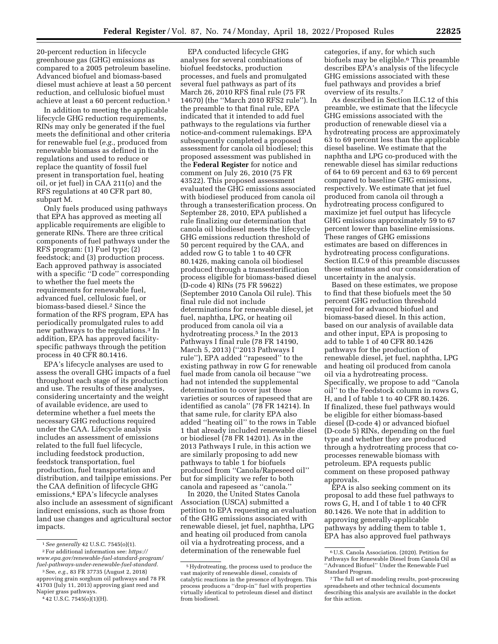20-percent reduction in lifecycle EPA conducted lifecycle GHG

greenhouse gas (GHG) emissions as compared to a 2005 petroleum baseline. Advanced biofuel and biomass-based diesel must achieve at least a 50 percent reduction, and cellulosic biofuel must achieve at least a 60 percent reduction.1

In addition to meeting the applicable lifecycle GHG reduction requirements, RINs may only be generated if the fuel meets the definitional and other criteria for renewable fuel (*e.g.,* produced from renewable biomass as defined in the regulations and used to reduce or replace the quantity of fossil fuel present in transportation fuel, heating oil, or jet fuel) in CAA 211(o) and the RFS regulations at 40 CFR part 80, subpart M.

Only fuels produced using pathways that EPA has approved as meeting all applicable requirements are eligible to generate RINs. There are three critical components of fuel pathways under the RFS program: (1) Fuel type; (2) feedstock; and (3) production process. Each approved pathway is associated with a specific "D code" corresponding to whether the fuel meets the requirements for renewable fuel, advanced fuel, cellulosic fuel, or biomass-based diesel.2 Since the formation of the RFS program, EPA has periodically promulgated rules to add new pathways to the regulations.3 In addition, EPA has approved facilityspecific pathways through the petition process in 40 CFR 80.1416.

EPA's lifecycle analyses are used to assess the overall GHG impacts of a fuel throughout each stage of its production and use. The results of these analyses, considering uncertainty and the weight of available evidence, are used to determine whether a fuel meets the necessary GHG reductions required under the CAA. Lifecycle analysis includes an assessment of emissions related to the full fuel lifecycle, including feedstock production, feedstock transportation, fuel production, fuel transportation and distribution, and tailpipe emissions. Per the CAA definition of lifecycle GHG emissions,4 EPA's lifecycle analyses also include an assessment of significant indirect emissions, such as those from land use changes and agricultural sector impacts.

analyses for several combinations of biofuel feedstocks, production processes, and fuels and promulgated several fuel pathways as part of its March 26, 2010 RFS final rule (75 FR 14670) (the ''March 2010 RFS2 rule''). In the preamble to that final rule, EPA indicated that it intended to add fuel pathways to the regulations via further notice-and-comment rulemakings. EPA subsequently completed a proposed assessment for canola oil biodiesel; this proposed assessment was published in the **Federal Register** for notice and comment on July 26, 2010 (75 FR 43522). This proposed assessment evaluated the GHG emissions associated with biodiesel produced from canola oil through a transesterification process. On September 28, 2010, EPA published a rule finalizing our determination that canola oil biodiesel meets the lifecycle GHG emissions reduction threshold of 50 percent required by the CAA, and added row G to table 1 to 40 CFR 80.1426, making canola oil biodiesel produced through a transesterification process eligible for biomass-based diesel (D-code 4) RINs (75 FR 59622) (September 2010 Canola Oil rule). This final rule did not include determinations for renewable diesel, jet fuel, naphtha, LPG, or heating oil produced from canola oil via a hydrotreating process.<sup>5</sup> In the 2013 Pathways I final rule (78 FR 14190, March 5, 2013) (''2013 Pathways I rule''), EPA added ''rapeseed'' to the existing pathway in row G for renewable fuel made from canola oil because ''we had not intended the supplemental determination to cover just those varieties or sources of rapeseed that are identified as canola'' (78 FR 14214). In that same rule, for clarity EPA also added ''heating oil'' to the rows in Table 1 that already included renewable diesel or biodiesel (78 FR 14201). As in the 2013 Pathways I rule, in this action we are similarly proposing to add new pathways to table 1 for biofuels produced from ''Canola/Rapeseed oil'' but for simplicity we refer to both canola and rapeseed as ''canola.''

In 2020, the United States Canola Association (USCA) submitted a petition to EPA requesting an evaluation of the GHG emissions associated with renewable diesel, jet fuel, naphtha, LPG and heating oil produced from canola oil via a hydrotreating process, and a determination of the renewable fuel

categories, if any, for which such biofuels may be eligible.6 This preamble describes EPA's analysis of the lifecycle GHG emissions associated with these fuel pathways and provides a brief overview of its results.7

As described in Section II.C.12 of this preamble, we estimate that the lifecycle GHG emissions associated with the production of renewable diesel via a hydrotreating process are approximately 63 to 69 percent less than the applicable diesel baseline. We estimate that the naphtha and LPG co-produced with the renewable diesel has similar reductions of 64 to 69 percent and 63 to 69 percent compared to baseline GHG emissions, respectively. We estimate that jet fuel produced from canola oil through a hydrotreating process configured to maximize jet fuel output has lifecycle GHG emissions approximately 59 to 67 percent lower than baseline emissions. These ranges of GHG emissions estimates are based on differences in hydrotreating process configurations. Section II.C.9 of this preamble discusses these estimates and our consideration of uncertainty in the analysis.

Based on these estimates, we propose to find that these biofuels meet the 50 percent GHG reduction threshold required for advanced biofuel and biomass-based diesel. In this action, based on our analysis of available data and other input, EPA is proposing to add to table 1 of 40 CFR 80.1426 pathways for the production of renewable diesel, jet fuel, naphtha, LPG and heating oil produced from canola oil via a hydrotreating process. Specifically, we propose to add ''Canola oil'' to the Feedstock column in rows G, H, and I of table 1 to 40 CFR 80.1426. If finalized, these fuel pathways would be eligible for either biomass-based diesel (D-code 4) or advanced biofuel (D-code 5) RINs, depending on the fuel type and whether they are produced through a hydrotreating process that coprocesses renewable biomass with petroleum. EPA requests public comment on these proposed pathway approvals.

EPA is also seeking comment on its proposal to add these fuel pathways to rows G, H, and I of table 1 to 40 CFR 80.1426. We note that in addition to approving generally-applicable pathways by adding them to table 1, EPA has also approved fuel pathways

<sup>1</sup>*See generally* 42 U.S.C. 7545(o)(1).

<sup>2</sup>For additional information see: *[https://](https://www.epa.gov/renewable-fuel-standard-program/fuel-pathways-under-renewable-fuel-standard) [www.epa.gov/renewable-fuel-standard-program/](https://www.epa.gov/renewable-fuel-standard-program/fuel-pathways-under-renewable-fuel-standard) [fuel-pathways-under-renewable-fuel-standard.](https://www.epa.gov/renewable-fuel-standard-program/fuel-pathways-under-renewable-fuel-standard)* 

<sup>3</sup>See, *e.g.,* 83 FR 37735 (August 2, 2018) approving grain sorghum oil pathways and 78 FR

<sup>41703 (</sup>July 11, 2013) approving giant reed and Napier grass pathways. 4 42 U.S.C. 7545(o)(1)(H).

<sup>5</sup>Hydrotreating, the process used to produce the vast majority of renewable diesel, consists of catalytic reactions in the presence of hydrogen. This process produces a ''drop-in'' fuel with properties virtually identical to petroleum diesel and distinct from biodiesel.

<sup>6</sup>U.S. Canola Association. (2020). Petition for Pathways for Renewable Diesel from Canola Oil as ''Advanced Biofuel'' Under the Renewable Fuel Standard Program.

<sup>7</sup>The full set of modeling results, post-processing spreadsheets and other technical documents describing this analysis are available in the docket for this action.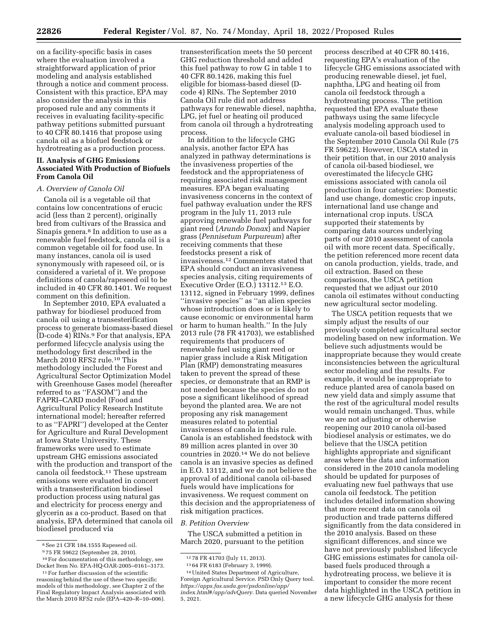on a facility-specific basis in cases where the evaluation involved a straightforward application of prior modeling and analysis established through a notice and comment process. Consistent with this practice, EPA may also consider the analysis in this proposed rule and any comments it receives in evaluating facility-specific pathway petitions submitted pursuant to 40 CFR 80.1416 that propose using canola oil as a biofuel feedstock or hydrotreating as a production process.

## **II. Analysis of GHG Emissions Associated With Production of Biofuels From Canola Oil**

### *A. Overview of Canola Oil*

Canola oil is a vegetable oil that contains low concentrations of erucic acid (less than 2 percent), originally bred from cultivars of the Brassica and Sinapis genera.8 In addition to use as a renewable fuel feedstock, canola oil is a common vegetable oil for food use. In many instances, canola oil is used synonymously with rapeseed oil, or is considered a varietal of it. We propose definitions of canola/rapeseed oil to be included in 40 CFR 80.1401. We request comment on this definition.

In September 2010, EPA evaluated a pathway for biodiesel produced from canola oil using a transesterification process to generate biomass-based diesel (D-code 4) RINs.9 For that analysis, EPA performed lifecycle analysis using the methodology first described in the March 2010 RFS2 rule.<sup>10</sup> This methodology included the Forest and Agricultural Sector Optimization Model with Greenhouse Gases model (hereafter referred to as ''FASOM'') and the FAPRI–CARD model (Food and Agricultural Policy Research Institute international model; hereafter referred to as ''FAPRI'') developed at the Center for Agriculture and Rural Development at Iowa State University. These frameworks were used to estimate upstream GHG emissions associated with the production and transport of the canola oil feedstock.11 These upstream emissions were evaluated in concert with a transesterification biodiesel production process using natural gas and electricity for process energy and glycerin as a co-product. Based on that analysis, EPA determined that canola oil biodiesel produced via

transesterification meets the 50 percent GHG reduction threshold and added this fuel pathway to row G in table 1 to 40 CFR 80.1426, making this fuel eligible for biomass-based diesel (Dcode 4) RINs. The September 2010 Canola Oil rule did not address pathways for renewable diesel, naphtha, LPG, jet fuel or heating oil produced from canola oil through a hydrotreating process.

In addition to the lifecycle GHG analysis, another factor EPA has analyzed in pathway determinations is the invasiveness properties of the feedstock and the appropriateness of requiring associated risk management measures. EPA began evaluating invasiveness concerns in the context of fuel pathway evaluation under the RFS program in the July 11, 2013 rule approving renewable fuel pathways for giant reed (*Arundo Donax*) and Napier grass (*Pennisetum Purpureum*) after receiving comments that these feedstocks present a risk of invasiveness.12 Commenters stated that EPA should conduct an invasiveness species analysis, citing requirements of Executive Order (E.O.) 13112.13 E.O. 13112, signed in February 1999, defines ''invasive species'' as ''an alien species whose introduction does or is likely to cause economic or environmental harm or harm to human health.'' In the July 2013 rule (78 FR 41703), we established requirements that producers of renewable fuel using giant reed or napier grass include a Risk Mitigation Plan (RMP) demonstrating measures taken to prevent the spread of these species, or demonstrate that an RMP is not needed because the species do not pose a significant likelihood of spread beyond the planted area. We are not proposing any risk management measures related to potential invasiveness of canola in this rule. Canola is an established feedstock with 89 million acres planted in over 30 countries in 2020.14 We do not believe canola is an invasive species as defined in E.O. 13112, and we do not believe the approval of additional canola oil-based fuels would have implications for invasiveness. We request comment on this decision and the appropriateness of risk mitigation practices.

#### *B. Petition Overview*

The USCA submitted a petition in March 2020, pursuant to the petition

process described at 40 CFR 80.1416, requesting EPA's evaluation of the lifecycle GHG emissions associated with producing renewable diesel, jet fuel, naphtha, LPG and heating oil from canola oil feedstock through a hydrotreating process. The petition requested that EPA evaluate these pathways using the same lifecycle analysis modeling approach used to evaluate canola-oil based biodiesel in the September 2010 Canola Oil Rule (75 FR 59622). However, USCA stated in their petition that, in our 2010 analysis of canola oil-based biodiesel, we overestimated the lifecycle GHG emissions associated with canola oil production in four categories: Domestic land use change, domestic crop inputs, international land use change and international crop inputs. USCA supported their statements by comparing data sources underlying parts of our 2010 assessment of canola oil with more recent data. Specifically, the petition referenced more recent data on canola production, yields, trade, and oil extraction. Based on these comparisons, the USCA petition requested that we adjust our 2010 canola oil estimates without conducting new agricultural sector modeling.

The USCA petition requests that we simply adjust the results of our previously completed agricultural sector modeling based on new information. We believe such adjustments would be inappropriate because they would create inconsistencies between the agricultural sector modeling and the results. For example, it would be inappropriate to reduce planted area of canola based on new yield data and simply assume that the rest of the agricultural model results would remain unchanged. Thus, while we are not adjusting or otherwise reopening our 2010 canola oil-based biodiesel analysis or estimates, we do believe that the USCA petition highlights appropriate and significant areas where the data and information considered in the 2010 canola modeling should be updated for purposes of evaluating new fuel pathways that use canola oil feedstock. The petition includes detailed information showing that more recent data on canola oil production and trade patterns differed significantly from the data considered in the 2010 analysis. Based on these significant differences, and since we have not previously published lifecycle GHG emissions estimates for canola oilbased fuels produced through a hydrotreating process, we believe it is important to consider the more recent data highlighted in the USCA petition in a new lifecycle GHG analysis for these

<sup>8</sup>See 21 CFR 184.1555 Rapeseed oil.

<sup>9</sup> 75 FR 59622 (September 28, 2010).

<sup>10</sup>For documentation of this methodology, see Docket Item No. EPA-HQ-OAR-2005–0161–3173.

 $^{\rm 11}\rm{For}$  further discussion of the scientific reasoning behind the use of these two specific models of this methodology, see Chapter 2 of the Final Regulatory Impact Analysis associated with the March 2010 RFS2 rule (EPA–420–R–10–006).

<sup>12</sup> 78 FR 41703 (July 11, 2013).

<sup>13</sup> 64 FR 6183 (February 3, 1999).

<sup>14</sup>United States Department of Agriculture, Foreign Agricultural Service. PSD Only Query tool. *[https://apps.fas.usda.gov/psdonline/app/](https://apps.fas.usda.gov/psdonline/app/index.html#/app/advQuery)  [index.html#/app/advQuery.](https://apps.fas.usda.gov/psdonline/app/index.html#/app/advQuery)* Data queried November 5, 2021.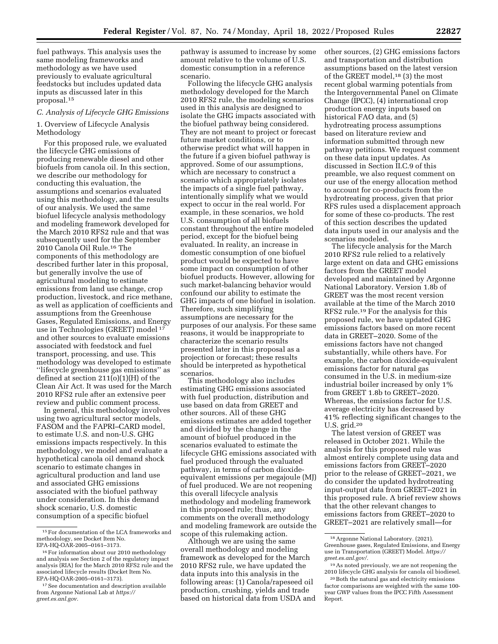fuel pathways. This analysis uses the same modeling frameworks and methodology as we have used previously to evaluate agricultural feedstocks but includes updated data inputs as discussed later in this proposal.15

## *C. Analysis of Lifecycle GHG Emissions*

1. Overview of Lifecycle Analysis Methodology

For this proposed rule, we evaluated the lifecycle GHG emissions of producing renewable diesel and other biofuels from canola oil. In this section, we describe our methodology for conducting this evaluation, the assumptions and scenarios evaluated using this methodology, and the results of our analysis. We used the same biofuel lifecycle analysis methodology and modeling framework developed for the March 2010 RFS2 rule and that was subsequently used for the September 2010 Canola Oil Rule.16 The components of this methodology are described further later in this proposal, but generally involve the use of agricultural modeling to estimate emissions from land use change, crop production, livestock, and rice methane, as well as application of coefficients and assumptions from the Greenhouse Gases, Regulated Emissions, and Energy use in Technologies (GREET) model 17 and other sources to evaluate emissions associated with feedstock and fuel transport, processing, and use. This methodology was developed to estimate ''lifecycle greenhouse gas emissions'' as defined at section 211(o)(1)(H) of the Clean Air Act. It was used for the March 2010 RFS2 rule after an extensive peer review and public comment process.

In general, this methodology involves using two agricultural sector models, FASOM and the FAPRI–CARD model, to estimate U.S. and non-U.S. GHG emissions impacts respectively. In this methodology, we model and evaluate a hypothetical canola oil demand shock scenario to estimate changes in agricultural production and land use and associated GHG emissions associated with the biofuel pathway under consideration. In this demand shock scenario, U.S. domestic consumption of a specific biofuel

pathway is assumed to increase by some amount relative to the volume of U.S. domestic consumption in a reference scenario.

Following the lifecycle GHG analysis methodology developed for the March 2010 RFS2 rule, the modeling scenarios used in this analysis are designed to isolate the GHG impacts associated with the biofuel pathway being considered. They are not meant to project or forecast future market conditions, or to otherwise predict what will happen in the future if a given biofuel pathway is approved. Some of our assumptions, which are necessary to construct a scenario which appropriately isolates the impacts of a single fuel pathway, intentionally simplify what we would expect to occur in the real world. For example, in these scenarios, we hold U.S. consumption of all biofuels constant throughout the entire modeled period, except for the biofuel being evaluated. In reality, an increase in domestic consumption of one biofuel product would be expected to have some impact on consumption of other biofuel products. However, allowing for such market-balancing behavior would confound our ability to estimate the GHG impacts of one biofuel in isolation. Therefore, such simplifying assumptions are necessary for the purposes of our analysis. For these same reasons, it would be inappropriate to characterize the scenario results presented later in this proposal as a projection or forecast; these results should be interpreted as hypothetical scenarios.

This methodology also includes estimating GHG emissions associated with fuel production, distribution and use based on data from GREET and other sources. All of these GHG emissions estimates are added together and divided by the change in the amount of biofuel produced in the scenarios evaluated to estimate the lifecycle GHG emissions associated with fuel produced through the evaluated pathway, in terms of carbon dioxideequivalent emissions per megajoule (MJ) of fuel produced. We are not reopening this overall lifecycle analysis methodology and modeling framework in this proposed rule; thus, any comments on the overall methodology and modeling framework are outside the scope of this rulemaking action.

Although we are using the same overall methodology and modeling framework as developed for the March 2010 RFS2 rule, we have updated the data inputs into this analysis in the following areas: (1) Canola/rapeseed oil production, crushing, yields and trade based on historical data from USDA and other sources, (2) GHG emissions factors and transportation and distribution assumptions based on the latest version of the GREET model,<sup>18</sup> (3) the most recent global warming potentials from the Intergovernmental Panel on Climate Change (IPCC), (4) international crop production energy inputs based on historical FAO data, and (5) hydrotreating process assumptions based on literature review and information submitted through new pathway petitions. We request comment on these data input updates. As discussed in Section II.C.9 of this preamble, we also request comment on our use of the energy allocation method to account for co-products from the hydrotreating process, given that prior RFS rules used a displacement approach for some of these co-products. The rest of this section describes the updated data inputs used in our analysis and the scenarios modeled.

The lifecycle analysis for the March 2010 RFS2 rule relied to a relatively large extent on data and GHG emissions factors from the GREET model developed and maintained by Argonne National Laboratory. Version 1.8b of GREET was the most recent version available at the time of the March 2010 RFS2 rule.19 For the analysis for this proposed rule, we have updated GHG emissions factors based on more recent data in GREET–2020. Some of the emissions factors have not changed substantially, while others have. For example, the carbon dioxide-equivalent emissions factor for natural gas consumed in the U.S. in medium-size industrial boiler increased by only 1% from GREET 1.8b to GREET–2020. Whereas, the emissions factor for U.S. average electricity has decreased by 41% reflecting significant changes to the U.S. grid.20

The latest version of GREET was released in October 2021. While the analysis for this proposed rule was almost entirely complete using data and emissions factors from GREET–2020 prior to the release of GREET–2021, we do consider the updated hydrotreating input-output data from GREET–2021 in this proposed rule. A brief review shows that the other relevant changes to emissions factors from GREET–2020 to GREET–2021 are relatively small—for

<sup>15</sup>For documentation of the LCA frameworks and methodology, see Docket Item No. EPA-HQ-OAR-2005–0161–3173.

<sup>16</sup>For information about our 2010 methodology and analysis see Section 2 of the regulatory impact analysis (RIA) for the March 2010 RFS2 rule and the associated lifecycle results (Docket Item No. EPA-HQ-OAR-2005–0161–3173).

<sup>&</sup>lt;sup>17</sup> See documentation and description available from Argonne National Lab at *[https://](https://greet.es.anl.gov) [greet.es.anl.gov.](https://greet.es.anl.gov)* 

<sup>18</sup>Argonne National Laboratory. (2021). Greenhouse gases, Regulated Emissions, and Energy use in Transportation (GREET) Model. *[https://](https://greet.es.anl.gov/) [greet.es.anl.gov/.](https://greet.es.anl.gov/)* 

<sup>19</sup>As noted previously, we are not reopening the 2010 lifecycle GHG analysis for canola oil biodiesel.

<sup>20</sup>Both the natural gas and electricity emissions factor comparisons are weighted with the same 100 year GWP values from the IPCC Fifth Assessment Report.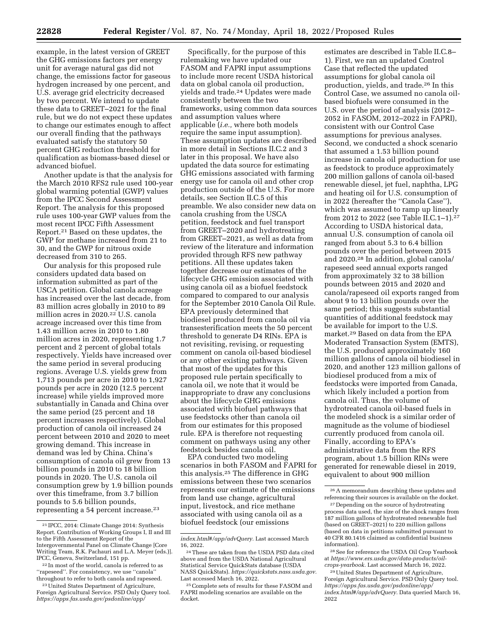example, in the latest version of GREET the GHG emissions factors per energy unit for average natural gas did not change, the emissions factor for gaseous hydrogen increased by one percent, and U.S. average grid electricity decreased by two percent. We intend to update these data to GREET–2021 for the final rule, but we do not expect these updates to change our estimates enough to affect our overall finding that the pathways evaluated satisfy the statutory 50 percent GHG reduction threshold for qualification as biomass-based diesel or advanced biofuel.

Another update is that the analysis for the March 2010 RFS2 rule used 100-year global warming potential (GWP) values from the IPCC Second Assessment Report. The analysis for this proposed rule uses 100-year GWP values from the most recent IPCC Fifth Assessment Report.21 Based on these updates, the GWP for methane increased from 21 to 30, and the GWP for nitrous oxide decreased from 310 to 265.

Our analysis for this proposed rule considers updated data based on information submitted as part of the USCA petition. Global canola acreage has increased over the last decade, from 83 million acres globally in 2010 to 89 million acres in 2020.<sup>22</sup> U.S. canola acreage increased over this time from 1.43 million acres in 2010 to 1.80 million acres in 2020, representing 1.7 percent and 2 percent of global totals respectively. Yields have increased over the same period in several producing regions. Average U.S. yields grew from 1,713 pounds per acre in 2010 to 1,927 pounds per acre in 2020 (12.5 percent increase) while yields improved more substantially in Canada and China over the same period (25 percent and 18 percent increases respectively). Global production of canola oil increased 24 percent between 2010 and 2020 to meet growing demand. This increase in demand was led by China. China's consumption of canola oil grew from 13 billion pounds in 2010 to 18 billion pounds in 2020. The U.S. canola oil consumption grew by 1.9 billion pounds over this timeframe, from 3.7 billion pounds to 5.6 billion pounds, representing a 54 percent increase.23

Specifically, for the purpose of this rulemaking we have updated our FASOM and FAPRI input assumptions to include more recent USDA historical data on global canola oil production, yields and trade.24 Updates were made consistently between the two frameworks, using common data sources and assumption values where applicable (*i.e.,* where both models require the same input assumption). These assumption updates are described in more detail in Sections II.C.2 and 3 later in this proposal. We have also updated the data source for estimating GHG emissions associated with farming energy use for canola oil and other crop production outside of the U.S. For more details, see Section II.C.5 of this preamble. We also consider new data on canola crushing from the USCA petition, feedstock and fuel transport from GREET–2020 and hydrotreating from GREET–2021, as well as data from review of the literature and information provided through RFS new pathway petitions. All these updates taken together decrease our estimates of the lifecycle GHG emission associated with using canola oil as a biofuel feedstock compared to compared to our analysis for the September 2010 Canola Oil Rule. EPA previously determined that biodiesel produced from canola oil via transesterification meets the 50 percent threshold to generate D4 RINs. EPA is not revisiting, revising, or requesting comment on canola oil-based biodiesel or any other existing pathways. Given that most of the updates for this proposed rule pertain specifically to canola oil, we note that it would be inappropriate to draw any conclusions about the lifecycle GHG emissions associated with biofuel pathways that use feedstocks other than canola oil from our estimates for this proposed rule. EPA is therefore not requesting comment on pathways using any other feedstock besides canola oil.

EPA conducted two modeling scenarios in both FASOM and FAPRI for this analysis.25 The difference in GHG emissions between these two scenarios represents our estimate of the emissions from land use change, agricultural input, livestock, and rice methane associated with using canola oil as a biofuel feedstock (our emissions

estimates are described in Table II.C.8– 1). First, we ran an updated Control Case that reflected the updated assumptions for global canola oil production, yields, and trade.26 In this Control Case, we assumed no canola oilbased biofuels were consumed in the U.S. over the period of analysis (2012– 2052 in FASOM, 2012–2022 in FAPRI), consistent with our Control Case assumptions for previous analyses. Second, we conducted a shock scenario that assumed a 1.53 billion pound increase in canola oil production for use as feedstock to produce approximately 200 million gallons of canola oil-based renewable diesel, jet fuel, naphtha, LPG and heating oil for U.S. consumption of in 2022 (hereafter the ''Canola Case''), which was assumed to ramp up linearly from 2012 to 2022 (see Table II.C.1–1).27 According to USDA historical data, annual U.S. consumption of canola oil ranged from about 5.3 to 6.4 billion pounds over the period between 2015 and 2020.28 In addition, global canola/ rapeseed seed annual exports ranged from approximately 32 to 38 billion pounds between 2015 and 2020 and canola/rapeseed oil exports ranged from about 9 to 13 billion pounds over the same period; this suggests substantial quantities of additional feedstock may be available for import to the U.S. market.29 Based on data from the EPA Moderated Transaction System (EMTS), the U.S. produced approximately 160 million gallons of canola oil biodiesel in 2020, and another 123 million gallons of biodiesel produced from a mix of feedstocks were imported from Canada, which likely included a portion from canola oil. Thus, the volume of hydrotreated canola oil-based fuels in the modeled shock is a similar order of magnitude as the volume of biodiesel currently produced from canola oil. Finally, according to EPA's administrative data from the RFS program, about 1.5 billion RINs were generated for renewable diesel in 2019, equivalent to about 900 million

28See for reference the USDA Oil Crop Yearbook at *[https://www.ers.usda.gov/data-products/oil](https://www.ers.usda.gov/data-products/oil-crops-yearbook)[crops-yearbook.](https://www.ers.usda.gov/data-products/oil-crops-yearbook)* Last accessed March 16, 2022.

<sup>21</sup> IPCC, 2014: Climate Change 2014: Synthesis Report. Contribution of Working Groups I, II and III to the Fifth Assessment Report of the Intergovernmental Panel on Climate Change [Core Writing Team, R.K. Pachauri and L.A. Meyer (eds.)]. IPCC, Geneva, Switzerland, 151 pp.

<sup>22</sup> In most of the world, canola is referred to as ''rapeseed''. For consistency, we use ''canola'' throughout to refer to both canola and rapeseed.

<sup>23</sup>United States Department of Agriculture, Foreign Agricultural Service. PSD Only Query tool. *[https://apps.fas.usda.gov/psdonline/app/](https://apps.fas.usda.gov/psdonline/app/index.html#/app/advQuery)* 

*[index.html#/app/advQuery.](https://apps.fas.usda.gov/psdonline/app/index.html#/app/advQuery)* Last accessed March 16, 2022.

<sup>24</sup>These are taken from the USDA PSD data cited above and from the USDA National Agricultural Statistical Service QuickStats database (USDA NASS QuickStats). *[https://quickstats.nass.usda.gov.](https://quickstats.nass.usda.gov)*  Last accessed March 16, 2022.

<sup>25</sup>Complete sets of results for these FASOM and FAPRI modeling scenarios are available on the docket.

<sup>26</sup>A memorandum describing these updates and referencing their sources is available on the docket. <sup>27</sup> Depending on the source of hydrotreating

process data used, the size of the shock ranges from 187 million gallons of hydrotreated renewable fuel (based on GREET–2021) to 220 million gallons (based on data in petitions submitted pursuant to 40 CFR 80.1416 claimed as confidential business information).

<sup>29</sup>United States Department of Agriculture, Foreign Agricultural Service. PSD Only Query tool. *[https://apps.fas.usda.gov/psdonline/app/](https://apps.fas.usda.gov/psdonline/app/index.html#/app/advQuery)  [index.html#/app/advQuery.](https://apps.fas.usda.gov/psdonline/app/index.html#/app/advQuery)* Data queried March 16, 2022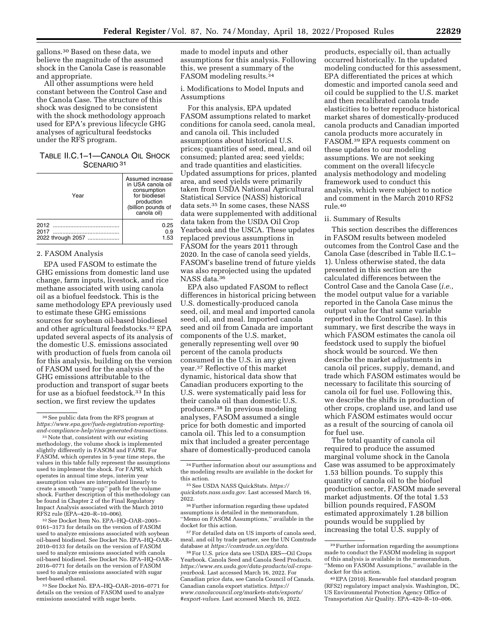gallons.30 Based on these data, we believe the magnitude of the assumed shock in the Canola Case is reasonable and appropriate.

All other assumptions were held constant between the Control Case and the Canola Case. The structure of this shock was designed to be consistent with the shock methodology approach used for EPA's previous lifecycle GHG analyses of agricultural feedstocks under the RFS program.

## TABLE II.C.1–1—CANOLA OIL SHOCK SCENARIO<sup>31</sup>

| Year              | Assumed increase<br>in USA canola oil<br>consumption<br>for biodiesel<br>production<br>(billion pounds of<br>canola oil) |
|-------------------|--------------------------------------------------------------------------------------------------------------------------|
| 2012              | 0.25                                                                                                                     |
| 2017              | 0.9                                                                                                                      |
| 2022 through 2057 | 1.53                                                                                                                     |

## 2. FASOM Analysis

EPA used FASOM to estimate the GHG emissions from domestic land use change, farm inputs, livestock, and rice methane associated with using canola oil as a biofuel feedstock. This is the same methodology EPA previously used to estimate these GHG emissions sources for soybean oil-based biodiesel and other agricultural feedstocks.32 EPA updated several aspects of its analysis of the domestic U.S. emissions associated with production of fuels from canola oil for this analysis, building on the version of FASOM used for the analysis of the GHG emissions attributable to the production and transport of sugar beets for use as a biofuel feedstock.33 In this section, we first review the updates

32See Docket Item No. EPA–HQ–OAR–2005– 0161–3173 for details on the version of FASOM used to analyze emissions associated with soybean oil-based biodiesel. See Docket No. EPA–HQ–OAR– 2010–0133 for details on the version of FASOM used to analyze emissions associated with canola oil-based biodiesel. See Docket No. EPA–HQ–OAR– 2016–0771 for details on the version of FASOM used to analyze emissions associated with sugar beet-based ethanol.

33See Docket No. EPA–HQ–OAR–2016–0771 for details on the version of FASOM used to analyze emissions associated with sugar beets.

made to model inputs and other assumptions for this analysis. Following this, we present a summary of the FASOM modeling results.34

i. Modifications to Model Inputs and Assumptions

For this analysis, EPA updated FASOM assumptions related to market conditions for canola seed, canola meal, and canola oil. This included assumptions about historical U.S. prices; quantities of seed, meal, and oil consumed; planted area; seed yields; and trade quantities and elasticities. Updated assumptions for prices, planted area, and seed yields were primarily taken from USDA National Agricultural Statistical Service (NASS) historical data sets.35 In some cases, these NASS data were supplemented with additional data taken from the USDA Oil Crop Yearbook and the USCA. These updates replaced previous assumptions in FASOM for the years 2011 through 2020. In the case of canola seed yields, FASOM's baseline trend of future yields was also reprojected using the updated NASS data.36

EPA also updated FASOM to reflect differences in historical pricing between U.S. domestically-produced canola seed, oil, and meal and imported canola seed, oil, and meal. Imported canola seed and oil from Canada are important components of the U.S. market, generally representing well over 90 percent of the canola products consumed in the U.S. in any given year.37 Reflective of this market dynamic, historical data show that Canadian producers exporting to the U.S. were systematically paid less for their canola oil than domestic U.S. producers.38 In previous modeling analyses, FASOM assumed a single price for both domestic and imported canola oil. This led to a consumption mix that included a greater percentage share of domestically-produced canola

products, especially oil, than actually occurred historically. In the updated modeling conducted for this assessment, EPA differentiated the prices at which domestic and imported canola seed and oil could be supplied to the U.S. market and then recalibrated canola trade elasticities to better reproduce historical market shares of domestically-produced canola products and Canadian imported canola products more accurately in FASOM.39 EPA requests comment on these updates to our modeling assumptions. We are not seeking comment on the overall lifecycle analysis methodology and modeling framework used to conduct this analysis, which were subject to notice and comment in the March 2010 RFS2 rule.40

#### ii. Summary of Results

This section describes the differences in FASOM results between modeled outcomes from the Control Case and the Canola Case (described in Table II.C.1– 1). Unless otherwise stated, the data presented in this section are the calculated differences between the Control Case and the Canola Case (*i.e.,*  the model output value for a variable reported in the Canola Case minus the output value for that same variable reported in the Control Case). In this summary, we first describe the ways in which FASOM estimates the canola oil feedstock used to supply the biofuel shock would be sourced. We then describe the market adjustments in canola oil prices, supply, demand, and trade which FASOM estimates would be necessary to facilitate this sourcing of canola oil for fuel use. Following this, we describe the shifts in production of other crops, cropland use, and land use which FASOM estimates would occur as a result of the sourcing of canola oil for fuel use.

The total quantity of canola oil required to produce the assumed marginal volume shock in the Canola Case was assumed to be approximately 1.53 billion pounds. To supply this quantity of canola oil to the biofuel production sector, FASOM made several market adjustments. Of the total 1.53 billion pounds required, FASOM estimated approximately 1.28 billion pounds would be supplied by increasing the total U.S. supply of

<sup>30</sup>See public data from the RFS program at *[https://www.epa.gov/fuels-registration-reporting](https://www.epa.gov/fuels-registration-reporting-and-compliance-help/rins-generated-transactions)[and-compliance-help/rins-generated-transactions.](https://www.epa.gov/fuels-registration-reporting-and-compliance-help/rins-generated-transactions)* 

<sup>&</sup>lt;sup>31</sup> Note that, consistent with our existing methodology, the volume shock is implemented slightly differently in FASOM and FAPRI. For FASOM, which operates in 5-year time steps, the values in this table fully represent the assumptions used to implement the shock. For FAPRI, which operates in annual time steps, interim year assumption values are interpolated linearly to create a smooth ''ramp-up'' path for the volume shock. Further description of this methodology can be found in Chapter 2 of the Final Regulatory Impact Analysis associated with the March 2010 RFS2 rule (EPA–420–R–10–006).

<sup>34</sup>Further information about our assumptions and the modeling results are available in the docket for this action.

<sup>35</sup>See USDA NASS QuickStats. *[https://](https://quickstats.nass.usda.gov) [quickstats.nass.usda.gov.](https://quickstats.nass.usda.gov)* Last accessed March 16, 2022.

<sup>36</sup>Further information regarding these updated assumptions is detailed in the memorandum, ''Memo on FASOM Assumptions,'' available in the docket for this action.

<sup>37</sup>For detailed data on US imports of canola seed, meal, and oil by trade partner, see the UN Comtrade database at *[https://comtrade.un.org/data.](https://comtrade.un.org/data)* 

<sup>38</sup>For U.S. price data see USDA ERS—Oil Crops Yearbook. Canola Seed and Canola Seed Products. *[https://www.ers.usda.gov/data-products/oil-crops](https://www.ers.usda.gov/data-products/oil-crops-yearbook)[yearbook.](https://www.ers.usda.gov/data-products/oil-crops-yearbook)* Last accessed March 16, 2022. For Canadian price data, see Canola Council of Canada. Canadian canola export statistics. *[https://](https://www.canolacouncil.org/markets-stats/exports/#export-values) [www.canolacouncil.org/markets-stats/exports/](https://www.canolacouncil.org/markets-stats/exports/#export-values) [#export-values.](https://www.canolacouncil.org/markets-stats/exports/#export-values)* Last accessed March 16, 2022.

<sup>39</sup>Further information regarding the assumptions made to conduct the FASOM modeling in support of this analysis is available in the memorandum, ''Memo on FASOM Assumptions,'' available in the docket for this action.

<sup>40</sup>EPA (2010). Renewable fuel standard program (RFS2) regulatory impact analysis. Washington, DC, US Environmental Protection Agency Office of Transportation Air Quality. EPA–420–R–10–006.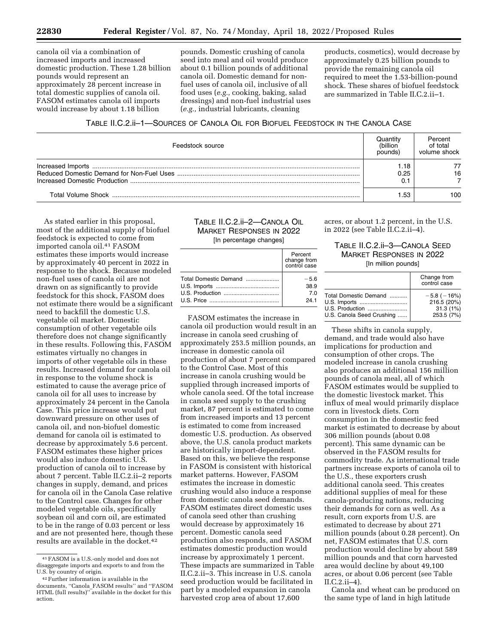canola oil via a combination of increased imports and increased domestic production. These 1.28 billion pounds would represent an approximately 28 percent increase in total domestic supplies of canola oil. FASOM estimates canola oil imports would increase by about 1.18 billion

pounds. Domestic crushing of canola seed into meal and oil would produce about 0.1 billion pounds of additional canola oil. Domestic demand for nonfuel uses of canola oil, inclusive of all food uses (*e.g.,* cooking, baking, salad dressings) and non-fuel industrial uses (*e.g.,* industrial lubricants, cleaning

products, cosmetics), would decrease by approximately 0.25 billion pounds to provide the remaining canola oil required to meet the 1.53-billion-pound shock. These shares of biofuel feedstock are summarized in Table II.C.2.ii–1.

## TABLE II.C.2.ii–1—SOURCES OF CANOLA OIL FOR BIOFUEL FEEDSTOCK IN THE CANOLA CASE

| Feedstock source | Juantıt∖<br>(billion<br>pounds | Percent<br>of total<br>volume shock |
|------------------|--------------------------------|-------------------------------------|
|                  | 18،،<br>0.25                   | 16                                  |
|                  | .53                            | 100                                 |

As stated earlier in this proposal, most of the additional supply of biofuel feedstock is expected to come from imported canola oil.41 FASOM estimates these imports would increase by approximately 40 percent in 2022 in response to the shock. Because modeled non-fuel uses of canola oil are not drawn on as significantly to provide feedstock for this shock, FASOM does not estimate there would be a significant need to backfill the domestic U.S. vegetable oil market. Domestic consumption of other vegetable oils therefore does not change significantly in these results. Following this, FASOM estimates virtually no changes in imports of other vegetable oils in these results. Increased demand for canola oil in response to the volume shock is estimated to cause the average price of canola oil for all uses to increase by approximately 24 percent in the Canola Case. This price increase would put downward pressure on other uses of canola oil, and non-biofuel domestic demand for canola oil is estimated to decrease by approximately 5.6 percent. FASOM estimates these higher prices would also induce domestic U.S. production of canola oil to increase by about 7 percent. Table II.C.2.ii–2 reports changes in supply, demand, and prices for canola oil in the Canola Case relative to the Control case. Changes for other modeled vegetable oils, specifically soybean oil and corn oil, are estimated to be in the range of 0.03 percent or less and are not presented here, though these results are available in the docket.42

## TABLE II.C.2.ii–2—CANOLA OIL MARKET RESPONSES IN 2022 [In percentage changes]

| Percent<br>change from<br>control case |
|----------------------------------------|
| $-56$                                  |
| 38.9                                   |
| 70                                     |
| 241                                    |

FASOM estimates the increase in canola oil production would result in an increase in canola seed crushing of approximately 253.5 million pounds, an increase in domestic canola oil production of about 7 percent compared to the Control Case. Most of this increase in canola crushing would be supplied through increased imports of whole canola seed. Of the total increase in canola seed supply to the crushing market, 87 percent is estimated to come from increased imports and 13 percent is estimated to come from increased domestic U.S. production. As observed above, the U.S. canola product markets are historically import-dependent. Based on this, we believe the response in FASOM is consistent with historical market patterns. However, FASOM estimates the increase in domestic crushing would also induce a response from domestic canola seed demands. FASOM estimates direct domestic uses of canola seed other than crushing would decrease by approximately 16 percent. Domestic canola seed production also responds, and FASOM estimates domestic production would increase by approximately 1 percent. These impacts are summarized in Table II.C.2.ii–3. This increase in U.S. canola seed production would be facilitated in part by a modeled expansion in canola harvested crop area of about 17,600

acres, or about 1.2 percent, in the U.S. in 2022 (see Table II.C.2.ii–4).

## TABLE II.C.2.ii–3—CANOLA SEED MARKET RESPONSES IN 2022 [In million pounds]

|                                                                                       | Change from<br>control case                                 |
|---------------------------------------------------------------------------------------|-------------------------------------------------------------|
| Total Domestic Demand<br>U.S. Imports<br>U.S. Production<br>U.S. Canola Seed Crushing | $-5.8$ ( $-16\%$ )<br>216.5 (20%)<br>31.3(1%)<br>253.5 (7%) |

These shifts in canola supply, demand, and trade would also have implications for production and consumption of other crops. The modeled increase in canola crushing also produces an additional 156 million pounds of canola meal, all of which FASOM estimates would be supplied to the domestic livestock market. This influx of meal would primarily displace corn in livestock diets. Corn consumption in the domestic feed market is estimated to decrease by about 306 million pounds (about 0.08 percent). This same dynamic can be observed in the FASOM results for commodity trade. As international trade partners increase exports of canola oil to the U.S., these exporters crush additional canola seed. This creates additional supplies of meal for these canola-producing nations, reducing their demands for corn as well. As a result, corn exports from U.S. are estimated to decrease by about 271 million pounds (about 0.28 percent). On net, FASOM estimates that U.S. corn production would decline by about 589 million pounds and that corn harvested area would decline by about 49,100 acres, or about 0.06 percent (see Table II.C.2.ii–4).

Canola and wheat can be produced on the same type of land in high latitude

<sup>41</sup>FASOM is a U.S.-only model and does not disaggregate imports and exports to and from the U.S. by country of origin.

<sup>42</sup>Further information is available in the documents, ''Canola\_FASOM results'' and ''FASOM HTML (full results)'' available in the docket for this action.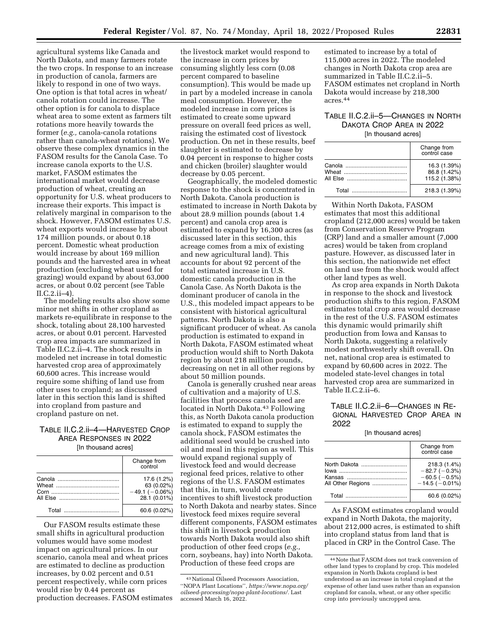agricultural systems like Canada and North Dakota, and many farmers rotate the two crops. In response to an increase in production of canola, farmers are likely to respond in one of two ways. One option is that total acres in wheat/ canola rotation could increase. The other option is for canola to displace wheat area to some extent as farmers tilt rotations more heavily towards the former (*e.g.,* canola-canola rotations rather than canola-wheat rotations). We observe these complex dynamics in the FASOM results for the Canola Case. To increase canola exports to the U.S. market, FASOM estimates the international market would decrease production of wheat, creating an opportunity for U.S. wheat producers to increase their exports. This impact is relatively marginal in comparison to the shock. However, FASOM estimates U.S. wheat exports would increase by about 174 million pounds, or about 0.18 percent. Domestic wheat production would increase by about 169 million pounds and the harvested area in wheat production (excluding wheat used for grazing) would expand by about 63,000 acres, or about 0.02 percent (see Table II.C.2.ii–4).

The modeling results also show some minor net shifts in other cropland as markets re-equilibrate in response to the shock, totaling about 28,100 harvested acres, or about 0.01 percent. Harvested crop area impacts are summarized in Table II.C.2.ii–4. The shock results in modeled net increase in total domestic harvested crop area of approximately 60,600 acres. This increase would require some shifting of land use from other uses to cropland; as discussed later in this section this land is shifted into cropland from pasture and cropland pasture on net.

## TABLE II.C.2.ii–4—HARVESTED CROP AREA RESPONSES IN 2022 [In thousand acres]

|       | Change from<br>control                                       |
|-------|--------------------------------------------------------------|
|       | 17.6 (1.2%)<br>63 (0.02%)<br>$-49.1(-0.06%)$<br>28.1 (0.01%) |
| Total | 60.6 (0.02%)                                                 |

Our FASOM results estimate these small shifts in agricultural production volumes would have some modest impact on agricultural prices. In our scenario, canola meal and wheat prices are estimated to decline as production increases, by 0.02 percent and 0.51 percent respectively, while corn prices would rise by 0.44 percent as production decreases. FASOM estimates

the livestock market would respond to the increase in corn prices by consuming slightly less corn (0.08 percent compared to baseline consumption). This would be made up in part by a modeled increase in canola meal consumption. However, the modeled increase in corn prices is estimated to create some upward pressure on overall feed prices as well, raising the estimated cost of livestock production. On net in these results, beef slaughter is estimated to decrease by 0.04 percent in response to higher costs and chicken (broiler) slaughter would decrease by 0.05 percent.

Geographically, the modeled domestic response to the shock is concentrated in North Dakota. Canola production is estimated to increase in North Dakota by about 28.9 million pounds (about 1.4 percent) and canola crop area is estimated to expand by 16,300 acres (as discussed later in this section, this acreage comes from a mix of existing and new agricultural land). This accounts for about 92 percent of the total estimated increase in U.S. domestic canola production in the Canola Case. As North Dakota is the dominant producer of canola in the U.S., this modeled impact appears to be consistent with historical agricultural patterns. North Dakota is also a significant producer of wheat. As canola production is estimated to expand in North Dakota, FASOM estimated wheat production would shift to North Dakota region by about 218 million pounds, decreasing on net in all other regions by about 50 million pounds.

Canola is generally crushed near areas of cultivation and a majority of U.S. facilities that process canola seed are located in North Dakota.43 Following this, as North Dakota canola production is estimated to expand to supply the canola shock, FASOM estimates the additional seed would be crushed into oil and meal in this region as well. This would expand regional supply of livestock feed and would decrease regional feed prices, relative to other regions of the U.S. FASOM estimates that this, in turn, would create incentives to shift livestock production to North Dakota and nearby states. Since livestock feed mixes require several different components, FASOM estimates this shift in livestock production towards North Dakota would also shift production of other feed crops (*e.g.,*  corn, soybeans, hay) into North Dakota. Production of these feed crops are

estimated to increase by a total of 115,000 acres in 2022. The modeled changes in North Dakota crop area are summarized in Table II.C.2.ii–5. FASOM estimates net cropland in North Dakota would increase by 218,300 acres.44

# TABLE II.C.2.ii–5—CHANGES IN NORTH DAKOTA CROP AREA IN 2022 [In thousand acres]

|                                                                                                                                                                                                                                     | Change from<br>control case                   |  |  |
|-------------------------------------------------------------------------------------------------------------------------------------------------------------------------------------------------------------------------------------|-----------------------------------------------|--|--|
| Wheat <b>Exercise Structure</b>                                                                                                                                                                                                     | 16.3 (1.39%)<br>86.8 (1.42%)<br>115.2 (1.38%) |  |  |
| <b>Total</b> Provides and the contract of the contract of the contract of the contract of the contract of the contract of the contract of the contract of the contract of the contract of the contract of the contract of the contr | 218.3 (1.39%)                                 |  |  |

Within North Dakota, FASOM estimates that most this additional cropland (212,000 acres) would be taken from Conservation Reserve Program (CRP) land and a smaller amount (7,000 acres) would be taken from cropland pasture. However, as discussed later in this section, the nationwide net effect on land use from the shock would affect other land types as well.

As crop area expands in North Dakota in response to the shock and livestock production shifts to this region, FASOM estimates total crop area would decrease in the rest of the U.S. FASOM estimates this dynamic would primarily shift production from Iowa and Kansas to North Dakota, suggesting a relatively modest northwesterly shift overall. On net, national crop area is estimated to expand by 60,600 acres in 2022. The modeled state-level changes in total harvested crop area are summarized in Table II.C.2.ii–6.

# TABLE II.C.2.ii–6—CHANGES IN RE-GIONAL HARVESTED CROP AREA IN 2022

### [In thousand acres]

|                                   | Change from<br>control case                                               |
|-----------------------------------|---------------------------------------------------------------------------|
| North Dakota<br>All Other Regions | 218.3 (1.4%)<br>$-82.7$ ( $-0.3%$ )<br>$-60.5(-0.5%)$<br>$-14.5(-0.01\%)$ |
| Total                             | 60.6 (0.02%)                                                              |

As FASOM estimates cropland would expand in North Dakota, the majority, about 212,000 acres, is estimated to shift into cropland status from land that is placed in CRP in the Control Case. The

<sup>43</sup>National Oilseed Processors Association, ''NOPA Plant Locations'', *[https://www.nopa.org/](https://www.nopa.org/oilseed-processing/nopa-plant-locations/)  [oilseed-processing/nopa-plant-locations/.](https://www.nopa.org/oilseed-processing/nopa-plant-locations/)* Last accessed March 16, 2022.

<sup>44</sup>Note that FASOM does not track conversion of other land types to cropland by crop. This modeled expansion in North Dakota cropland is best understood as an increase in total cropland at the expense of other land uses rather than an expansion cropland for canola, wheat, or any other specific crop into previously uncropped area.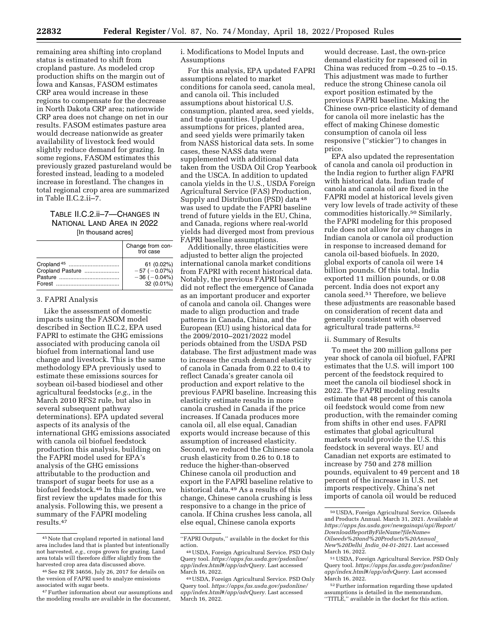remaining area shifting into cropland status is estimated to shift from cropland pasture. As modeled crop production shifts on the margin out of Iowa and Kansas, FASOM estimates CRP area would increase in these regions to compensate for the decrease in North Dakota CRP area; nationwide CRP area does not change on net in our results. FASOM estimates pasture area would decrease nationwide as greater availability of livestock feed would slightly reduce demand for grazing. In some regions, FASOM estimates this previously grazed pastureland would be forested instead, leading to a modeled increase in forestland. The changes in total regional crop area are summarized in Table II.C.2.ii–7.

# TABLE II.C.2.ii–7—CHANGES IN NATIONAL LAND AREA IN 2022 [In thousand acres]

|                        | Change from con-<br>trol case |
|------------------------|-------------------------------|
| Cropland <sup>45</sup> | 61 (0.02%)                    |
| Cropland Pasture       | $-57(-0.07%)$                 |
|                        | $-36(-0.04%)$                 |
|                        | 32 (0.01%)                    |

### 3. FAPRI Analysis

Like the assessment of domestic impacts using the FASOM model described in Section II.C.2, EPA used FAPRI to estimate the GHG emissions associated with producing canola oil biofuel from international land use change and livestock. This is the same methodology EPA previously used to estimate these emissions sources for soybean oil-based biodiesel and other agricultural feedstocks (*e.g.,* in the March 2010 RFS2 rule, but also in several subsequent pathway determinations). EPA updated several aspects of its analysis of the international GHG emissions associated with canola oil biofuel feedstock production this analysis, building on the FAPRI model used for EPA's analysis of the GHG emissions attributable to the production and transport of sugar beets for use as a biofuel feedstock.46 In this section, we first review the updates made for this analysis. Following this, we present a summary of the FAPRI modeling results.47

i. Modifications to Model Inputs and Assumptions

For this analysis, EPA updated FAPRI assumptions related to market conditions for canola seed, canola meal, and canola oil. This included assumptions about historical U.S. consumption, planted area, seed yields, and trade quantities. Updated assumptions for prices, planted area, and seed yields were primarily taken from NASS historical data sets. In some cases, these NASS data were supplemented with additional data taken from the USDA Oil Crop Yearbook and the USCA. In addition to updated canola yields in the U.S., USDA Foreign Agricultural Service (FAS) Production, Supply and Distribution (PSD) data 48 was used to update the FAPRI baseline trend of future yields in the EU, China, and Canada, regions where real-world yields had diverged most from previous FAPRI baseline assumptions.

Additionally, three elasticities were adjusted to better align the projected international canola market conditions from FAPRI with recent historical data. Notably, the previous FAPRI baseline did not reflect the emergence of Canada as an important producer and exporter of canola and canola oil. Changes were made to align production and trade patterns in Canada, China, and the European (EU) using historical data for the 2009/2010–2021/2022 model periods obtained from the USDA PSD database. The first adjustment made was to increase the crush demand elasticity of canola in Canada from 0.22 to 0.4 to reflect Canada's greater canola oil production and export relative to the previous FAPRI baseline. Increasing this elasticity estimate results in more canola crushed in Canada if the price increases. If Canada produces more canola oil, all else equal, Canadian exports would increase because of this assumption of increased elasticity. Second, we reduced the Chinese canola crush elasticity from 0.26 to 0.18 to reduce the higher-than-observed Chinese canola oil production and export in the FAPRI baseline relative to historical data.49 As a results of this change, Chinese canola crushing is less responsive to a change in the price of canola. If China crushes less canola, all else equal, Chinese canola exports

would decrease. Last, the own-price demand elasticity for rapeseed oil in China was reduced from –0.25 to –0.15. This adjustment was made to further reduce the strong Chinese canola oil export position estimated by the previous FAPRI baseline. Making the Chinese own-price elasticity of demand for canola oil more inelastic has the effect of making Chinese domestic consumption of canola oil less responsive (''stickier'') to changes in price.

EPA also updated the representation of canola and canola oil production in the India region to further align FAPRI with historical data. Indian trade of canola and canola oil are fixed in the FAPRI model at historical levels given very low levels of trade activity of these commodities historically.50 Similarly, the FAPRI modeling for this proposed rule does not allow for any changes in Indian canola or canola oil production in response to increased demand for canola oil-based biofuels. In 2020, global exports of canola oil were 14 billion pounds. Of this total, India exported 11 million pounds, or 0.08 percent. India does not export any canola seed.51 Therefore, we believe these adjustments are reasonable based on consideration of recent data and generally consistent with observed agricultural trade patterns.52

## ii. Summary of Results

To meet the 200 million gallons per year shock of canola oil biofuel, FAPRI estimates that the U.S. will import 100 percent of the feedstock required to meet the canola oil biodiesel shock in 2022. The FAPRI modeling results estimate that 48 percent of this canola oil feedstock would come from new production, with the remainder coming from shifts in other end uses. FAPRI estimates that global agricultural markets would provide the U.S. this feedstock in several ways. EU and Canadian net exports are estimated to increase by 750 and 278 million pounds, equivalent to 49 percent and 18 percent of the increase in U.S. net imports respectively. China's net imports of canola oil would be reduced

<sup>45</sup>Note that cropland reported in national land area includes land that is planted but intentionally not harvested, *e.g.,* crops grown for grazing. Land area totals will therefore differ slightly from the harvested crop area data discussed above.

<sup>46</sup>See 82 FR 34656, July 26, 2017 for details on the version of FAPRI used to analyze emissions associated with sugar beets.

<sup>47</sup>Further information about our assumptions and the modeling results are available in the document,

<sup>&#</sup>x27;'FAPRI Outputs,'' available in the docket for this action.

<sup>48</sup>USDA, Foreign Agricultural Service. PSD Only Query tool. *[https://apps.fas.usda.gov/psdonline/](https://apps.fas.usda.gov/psdonline/app/index.html#/app/advQuery)  [app/index.html#/app/advQuery.](https://apps.fas.usda.gov/psdonline/app/index.html#/app/advQuery)* Last accessed March 16, 2022.

<sup>49</sup>USDA, Foreign Agricultural Service. PSD Only Query tool. *[https://apps.fas.usda.gov/psdonline/](https://apps.fas.usda.gov/psdonline/app/index.html#/app/advQuery)  [app/index.html#/app/advQuery.](https://apps.fas.usda.gov/psdonline/app/index.html#/app/advQuery)* Last accessed March 16, 2022.

<sup>50</sup>USDA, Foreign Agricultural Service. Oilseeds and Products Annual. March 31, 2021. Available at *[https://apps.fas.usda.gov/newgainapi/api/Report/](https://apps.fas.usda.gov/newgainapi/api/Report/DownloadReportByFileName?fileName=Oilseeds%20and%20Products%20Annual_New%20Delhi_India_04-01-2021) [DownloadReportByFileName?fileName=](https://apps.fas.usda.gov/newgainapi/api/Report/DownloadReportByFileName?fileName=Oilseeds%20and%20Products%20Annual_New%20Delhi_India_04-01-2021) [Oilseeds%20and%20Products%20Annual](https://apps.fas.usda.gov/newgainapi/api/Report/DownloadReportByFileName?fileName=Oilseeds%20and%20Products%20Annual_New%20Delhi_India_04-01-2021)*\_ *[New%20Delhi](https://apps.fas.usda.gov/newgainapi/api/Report/DownloadReportByFileName?fileName=Oilseeds%20and%20Products%20Annual_New%20Delhi_India_04-01-2021)*\_*India*\_*04-01-2021.* Last accessed March 16, 2022.

<sup>51</sup>USDA, Foreign Agricultural Service. PSD Only Query tool. *[https://apps.fas.usda.gov/psdonline/](https://apps.fas.usda.gov/psdonline/app/index.html#/app/advQuery)  [app/index.html#/app/advQuery.](https://apps.fas.usda.gov/psdonline/app/index.html#/app/advQuery)* Last accessed March 16, 2022.

<sup>52</sup>Further information regarding these updated assumptions is detailed in the memorandum, ''TITLE,'' available in the docket for this action.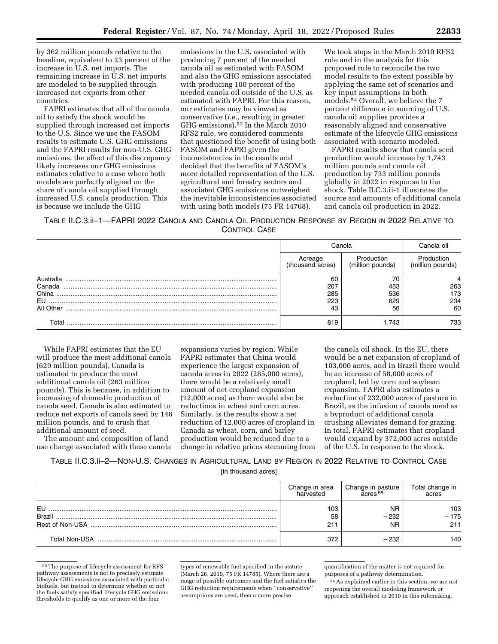by 362 million pounds relative to the baseline, equivalent to 23 percent of the increase in U.S. net imports. The remaining increase in U.S. net imports are modeled to be supplied through increased net exports from other countries.

FAPRI estimates that all of the canola oil to satisfy the shock would be supplied through increased net imports to the U.S. Since we use the FASOM results to estimate U.S. GHG emissions and the FAPRI results for non-U.S. GHG emissions, the effect of this discrepancy likely increases our GHG emissions estimates relative to a case where both models are perfectly aligned on the share of canola oil supplied through increased U.S. canola production. This is because we include the GHG

emissions in the U.S. associated with producing 7 percent of the needed canola oil as estimated with FASOM and also the GHG emissions associated with producing 100 percent of the needed canola oil outside of the U.S. as estimated with FAPRI. For this reason, our estimates may be viewed as conservative (*i.e.,* resulting in greater GHG emissions).53 In the March 2010 RFS2 rule, we considered comments that questioned the benefit of using both FASOM and FAPRI given the inconsistencies in the results and decided that the benefits of FASOM's more detailed representation of the U.S. agricultural and forestry sectors and associated GHG emissions outweighed the inevitable inconsistencies associated with using both models (75 FR 14768).

We took steps in the March 2010 RFS2 rule and in the analysis for this proposed rule to reconcile the two model results to the extent possible by applying the same set of scenarios and key input assumptions in both models.54 Overall, we believe the 7 percent difference in sourcing of U.S. canola oil supplies provides a reasonably aligned and conservative estimate of the lifecycle GHG emissions associated with scenario modeled.

FAPRI results show that canola seed production would increase by 1,743 million pounds and canola oil production by 733 million pounds globally in 2022 in response to the shock. Table II.C.3.ii-1 illustrates the source and amounts of additional canola and canola oil production in 2022.

TABLE II.C.3.ii–1—FAPRI 2022 CANOLA AND CANOLA OIL PRODUCTION RESPONSE BY REGION IN 2022 RELATIVE TO CONTROL CASE

|           | Canola                      |                                | Canola oil.                    |
|-----------|-----------------------------|--------------------------------|--------------------------------|
|           | Acreage<br>(thousand acres) | Production<br>(million pounds) | Production<br>(million pounds) |
|           | 60                          | 70                             |                                |
| Canada    | 207                         | 453                            | 263                            |
| China     | 536<br>285                  |                                | 173                            |
| EU        | 629<br>223                  |                                | 234                            |
| All Other | 43<br>56                    |                                | 60                             |
| Total     | 819                         | .743                           | 733                            |

While FAPRI estimates that the EU will produce the most additional canola (629 million pounds), Canada is estimated to produce the most additional canola oil (263 million pounds). This is because, in addition to increasing of domestic production of canola seed, Canada is also estimated to reduce net exports of canola seed by 146 million pounds, and to crush that additional amount of seed.

The amount and composition of land use change associated with these canola

expansions varies by region. While FAPRI estimates that China would experience the largest expansion of canola acres in 2022 (285,000 acres), there would be a relatively small amount of net cropland expansion (12,000 acres) as there would also be reductions in wheat and corn acres. Similarly, is the results show a net reduction of 12,000 acres of cropland in Canada as wheat, corn, and barley production would be reduced due to a change in relative prices stemming from

the canola oil shock. In the EU, there would be a net expansion of cropland of 103,000 acres, and in Brazil there would be an increase of 58,000 acres of cropland, led by corn and soybean expansion. FAPRI also estimates a reduction of 232,000 acres of pasture in Brazil, as the infusion of canola meal as a byproduct of additional canola crushing alleviates demand for grazing. In total, FAPRI estimates that cropland would expand by 372,000 acres outside of the U.S. in response to the shock.

TABLE II.C.3.ii–2—NON-U.S. CHANGES IN AGRICULTURAL LAND BY REGION IN 2022 RELATIVE TO CONTROL CASE [In thousand acres]

|                     | Change in area<br>harvested | Change in pasture<br>$A$ cres $55$ | Total change in<br>acres |
|---------------------|-----------------------------|------------------------------------|--------------------------|
| EU<br><b>Brazil</b> | 103<br>58                   | <b>NR</b><br>- 232                 | 103<br>- 175             |
|                     | 211                         | <b>NR</b>                          | 211                      |
| Total Non-USA       | 372                         | 232                                | 140                      |

<sup>53</sup>The purpose of lifecycle assessment for RFS pathway assessments is not to precisely estimate lifecycle GHG emissions associated with particular biofuels, but instead to determine whether or not the fuels satisfy specified lifecycle GHG emissions thresholds to qualify as one or more of the four

types of renewable fuel specified in the statute (March 26, 2010, 75 FR 14785). Where there are a range of possible outcomes and the fuel satisfies the GHG reduction requirements when ''conservative'' assumptions are used, then a more precise

quantification of the matter is not required for purposes of a pathway determination.

54As explained earlier in this section, we are not reopening the overall modeling framework or approach established in 2010 in this rulemaking.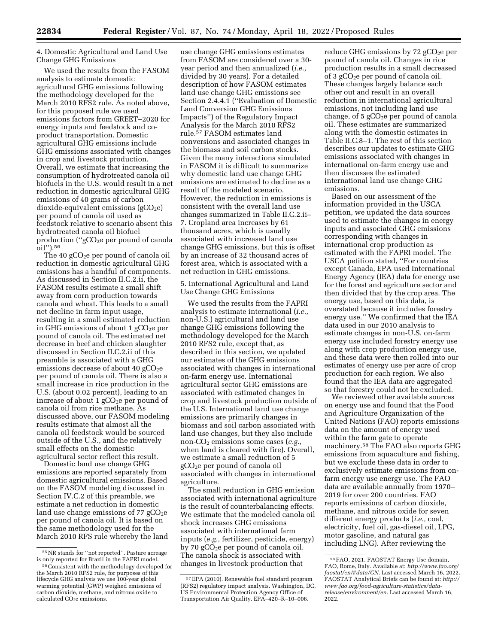4. Domestic Agricultural and Land Use Change GHG Emissions

We used the results from the FASOM analysis to estimate domestic agricultural GHG emissions following the methodology developed for the March 2010 RFS2 rule. As noted above, for this proposed rule we used emissions factors from GREET–2020 for energy inputs and feedstock and coproduct transportation. Domestic agricultural GHG emissions include GHG emissions associated with changes in crop and livestock production. Overall, we estimate that increasing the consumption of hydrotreated canola oil biofuels in the U.S. would result in a net reduction in domestic agricultural GHG emissions of 40 grams of carbon  $divide$ -equivalent emissions (gCO<sub>2</sub>e) per pound of canola oil used as feedstock relative to scenario absent this hydrotreated canola oil biofuel production ("gCO<sub>2</sub>e per pound of canola oil'').56

The 40  $gCO<sub>2</sub>e$  per pound of canola oil reduction in domestic agricultural GHG emissions has a handful of components. As discussed in Section II.C.2.ii, the FASOM results estimate a small shift away from corn production towards canola and wheat. This leads to a small net decline in farm input usage, resulting in a small estimated reduction in GHG emissions of about 1  $gCO<sub>2</sub>e$  per pound of canola oil. The estimated net decrease in beef and chicken slaughter discussed in Section II.C.2.ii of this preamble is associated with a GHG emissions decrease of about 40  $gCO<sub>2</sub>e$ per pound of canola oil. There is also a small increase in rice production in the U.S. (about 0.02 percent), leading to an increase of about 1  $gCO<sub>2</sub>e$  per pound of canola oil from rice methane. As discussed above, our FASOM modeling results estimate that almost all the canola oil feedstock would be sourced outside of the U.S., and the relatively small effects on the domestic agricultural sector reflect this result.

Domestic land use change GHG emissions are reported separately from domestic agricultural emissions. Based on the FASOM modeling discussed in Section IV.C.2 of this preamble, we estimate a net reduction in domestic land use change emissions of 77  $gCO<sub>2</sub>e$ per pound of canola oil. It is based on the same methodology used for the March 2010 RFS rule whereby the land

use change GHG emissions estimates from FASOM are considered over a 30 year period and then annualized (*i.e.,*  divided by 30 years). For a detailed description of how FASOM estimates land use change GHG emissions see Section 2.4.4.1 (''Evaluation of Domestic Land Conversion GHG Emissions Impacts'') of the Regulatory Impact Analysis for the March 2010 RFS2 rule.57 FASOM estimates land conversions and associated changes in the biomass and soil carbon stocks. Given the many interactions simulated in FASOM it is difficult to summarize why domestic land use change GHG emissions are estimated to decline as a result of the modeled scenario. However, the reduction in emissions is consistent with the overall land use changes summarized in Table II.C.2.ii– 7. Cropland area increases by 61 thousand acres, which is usually associated with increased land use change GHG emissions, but this is offset by an increase of 32 thousand acres of forest area, which is associated with a net reduction in GHG emissions.

5. International Agricultural and Land Use Change GHG Emissions

We used the results from the FAPRI analysis to estimate international (*i.e.,*  non-U.S.) agricultural and land use change GHG emissions following the methodology developed for the March 2010 RFS2 rule, except that, as described in this section, we updated our estimates of the GHG emissions associated with changes in international on-farm energy use. International agricultural sector GHG emissions are associated with estimated changes in crop and livestock production outside of the U.S. International land use change emissions are primarily changes in biomass and soil carbon associated with land use changes, but they also include non-CO2 emissions some cases (*e.g.,*  when land is cleared with fire). Overall, we estimate a small reduction of 5 gCO2e per pound of canola oil associated with changes in international agriculture.

The small reduction in GHG emission associated with international agriculture is the result of counterbalancing effects. We estimate that the modeled canola oil shock increases GHG emissions associated with international farm inputs (*e.g.,* fertilizer, pesticide, energy) by 70 gCO<sub>2</sub>e per pound of canola oil. The canola shock is associated with changes in livestock production that

reduce GHG emissions by  $72$  gCO<sub>2</sub>e per pound of canola oil. Changes in rice production results in a small decreased of 3  $gCO<sub>2</sub>e$  per pound of canola oil. These changes largely balance each other out and result in an overall reduction in international agricultural emissions, not including land use change, of  $5 \text{ gCO}_2$ e per pound of canola oil. These estimates are summarized along with the domestic estimates in Table II.C.8–1. The rest of this section describes our updates to estimate GHG emissions associated with changes in international on-farm energy use and then discusses the estimated international land use change GHG emissions.

Based on our assessment of the information provided in the USCA petition, we updated the data sources used to estimate the changes in energy inputs and associated GHG emissions corresponding with changes in international crop production as estimated with the FAPRI model. The USCA petition stated, ''For countries except Canada, EPA used International Energy Agency (IEA) data for energy use for the forest and agriculture sector and then divided that by the crop area. The energy use, based on this data, is overstated because it includes forestry energy use.'' We confirmed that the IEA data used in our 2010 analysis to estimate changes in non-U.S. on-farm energy use included forestry energy use along with crop production energy use, and these data were then rolled into our estimates of energy use per acre of crop production for each region. We also found that the IEA data are aggregated so that forestry could not be excluded.

We reviewed other available sources on energy use and found that the Food and Agriculture Organization of the United Nations (FAO) reports emissions data on the amount of energy used within the farm gate to operate machinery.58 The FAO also reports GHG emissions from aquaculture and fishing, but we exclude these data in order to exclusively estimate emissions from onfarm energy use energy use. The FAO data are available annually from 1970– 2019 for over 200 countries. FAO reports emissions of carbon dioxide, methane, and nitrous oxide for seven different energy products (*i.e.,* coal, electricity, fuel oil, gas-diesel oil, LPG, motor gasoline, and natural gas including LNG). After reviewing the

<sup>55</sup>NR stands for ''not reported''. Pasture acreage is only reported for Brazil in the FAPRI model.

<sup>56</sup>Consistent with the methodology developed for the March 2010 RFS2 rule, for purposes of this lifecycle GHG analysis we use 100-year global warming potential (GWP) weighed emissions of carbon dioxide, methane, and nitrous oxide to calculated CO<sub>2</sub>e emissions.

<sup>57</sup>EPA (2010). Renewable fuel standard program (RFS2) regulatory impact analysis. Washington, DC, US Environmental Protection Agency Office of Transportation Air Quality. EPA–420–R–10–006.

<sup>58</sup>FAO, 2021. FAOSTAT Energy Use domain, FAO, Rome, Italy. Available at: *[http://www.fao.org/](http://www.fao.org/faostat/en/#data/GN) [faostat/en/#data/GN.](http://www.fao.org/faostat/en/#data/GN)* Last accessed March 16, 2022. FAOSTAT Analytical Briefs can be found at: *[http://](http://www.fao.org/food-agriculture-statistics/data-release/environment/en)  [www.fao.org/food-agriculture-statistics/data](http://www.fao.org/food-agriculture-statistics/data-release/environment/en)[release/environment/en.](http://www.fao.org/food-agriculture-statistics/data-release/environment/en)* Last accessed March 16, 2022.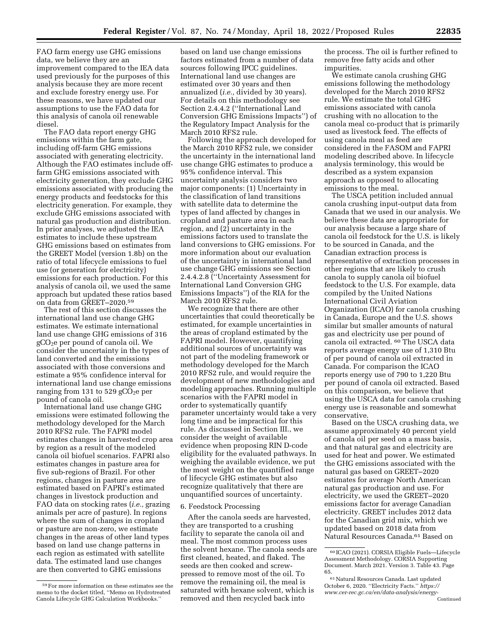FAO farm energy use GHG emissions data, we believe they are an improvement compared to the IEA data used previously for the purposes of this analysis because they are more recent and exclude forestry energy use. For these reasons, we have updated our assumptions to use the FAO data for this analysis of canola oil renewable diesel.

The FAO data report energy GHG emissions within the farm gate, including off-farm GHG emissions associated with generating electricity. Although the FAO estimates include offfarm GHG emissions associated with electricity generation, they exclude GHG emissions associated with producing the energy products and feedstocks for this electricity generation. For example, they exclude GHG emissions associated with natural gas production and distribution. In prior analyses, we adjusted the IEA estimates to include these upstream GHG emissions based on estimates from the GREET Model (version 1.8b) on the ratio of total lifecycle emissions to fuel use (or generation for electricity) emissions for each production. For this analysis of canola oil, we used the same approach but updated these ratios based on data from GREET–2020.59

The rest of this section discusses the international land use change GHG estimates. We estimate international land use change GHG emissions of 316  $gCO<sub>2</sub>e$  per pound of canola oil. We consider the uncertainty in the types of land converted and the emissions associated with those conversions and estimate a 95% confidence interval for international land use change emissions ranging from 131 to 529  $gCO<sub>2</sub>e$  per pound of canola oil.

International land use change GHG emissions were estimated following the methodology developed for the March 2010 RFS2 rule. The FAPRI model estimates changes in harvested crop area by region as a result of the modeled canola oil biofuel scenarios. FAPRI also estimates changes in pasture area for five sub-regions of Brazil. For other regions, changes in pasture area are estimated based on FAPRI's estimated changes in livestock production and FAO data on stocking rates (*i.e.,* grazing animals per acre of pasture). In regions where the sum of changes in cropland or pasture are non-zero, we estimate changes in the areas of other land types based on land use change patterns in each region as estimated with satellite data. The estimated land use changes are then converted to GHG emissions

based on land use change emissions factors estimated from a number of data sources following IPCC guidelines. International land use changes are estimated over 30 years and then annualized (*i.e.,* divided by 30 years). For details on this methodology see Section 2.4.4.2 (''International Land Conversion GHG Emissions Impacts'') of the Regulatory Impact Analysis for the March 2010 RFS2 rule.

Following the approach developed for the March 2010 RFS2 rule, we consider the uncertainty in the international land use change GHG estimates to produce a 95% confidence interval. This uncertainty analysis considers two major components: (1) Uncertainty in the classification of land transitions with satellite data to determine the types of land affected by changes in cropland and pasture area in each region, and (2) uncertainty in the emissions factors used to translate the land conversions to GHG emissions. For more information about our evaluation of the uncertainty in international land use change GHG emissions see Section 2.4.4.2.8 (''Uncertainty Assessment for International Land Conversion GHG Emissions Impacts'') of the RIA for the March 2010 RFS2 rule.

We recognize that there are other uncertainties that could theoretically be estimated, for example uncertainties in the areas of cropland estimated by the FAPRI model. However, quantifying additional sources of uncertainty was not part of the modeling framework or methodology developed for the March 2010 RFS2 rule, and would require the development of new methodologies and modeling approaches. Running multiple scenarios with the FAPRI model in order to systematically quantify parameter uncertainty would take a very long time and be impractical for this rule. As discussed in Section III., we consider the weight of available evidence when proposing RIN D-code eligibility for the evaluated pathways. In weighing the available evidence, we put the most weight on the quantified range of lifecycle GHG estimates but also recognize qualitatively that there are unquantified sources of uncertainty.

### 6. Feedstock Processing

After the canola seeds are harvested, they are transported to a crushing facility to separate the canola oil and meal. The most common process uses the solvent hexane. The canola seeds are first cleaned, heated, and flaked. The seeds are then cooked and screwpressed to remove most of the oil. To remove the remaining oil, the meal is saturated with hexane solvent, which is removed and then recycled back into

the process. The oil is further refined to remove free fatty acids and other impurities.

We estimate canola crushing GHG emissions following the methodology developed for the March 2010 RFS2 rule. We estimate the total GHG emissions associated with canola crushing with no allocation to the canola meal co-product that is primarily used as livestock feed. The effects of using canola meal as feed are considered in the FASOM and FAPRI modeling described above. In lifecycle analysis terminology, this would be described as a system expansion approach as opposed to allocating emissions to the meal.

The USCA petition included annual canola crushing input-output data from Canada that we used in our analysis. We believe these data are appropriate for our analysis because a large share of canola oil feedstock for the U.S. is likely to be sourced in Canada, and the Canadian extraction process is representative of extraction processes in other regions that are likely to crush canola to supply canola oil biofuel feedstock to the U.S. For example, data compiled by the United Nations International Civil Aviation Organization (ICAO) for canola crushing in Canada, Europe and the U.S. shows similar but smaller amounts of natural gas and electricity use per pound of canola oil extracted. 60 The USCA data reports average energy use of 1,310 Btu of per pound of canola oil extracted in Canada. For comparison the ICAO reports energy use of 790 to 1,220 Btu per pound of canola oil extracted. Based on this comparison, we believe that using the USCA data for canola crushing energy use is reasonable and somewhat conservative.

Based on the USCA crushing data, we assume approximately 40 percent yield of canola oil per seed on a mass basis, and that natural gas and electricity are used for heat and power. We estimated the GHG emissions associated with the natural gas based on GREET–2020 estimates for average North American natural gas production and use. For electricity, we used the GREET–2020 emissions factor for average Canadian electricity. GREET includes 2012 data for the Canadian grid mix, which we updated based on 2018 data from Natural Resources Canada.61 Based on

<sup>59</sup>For more information on these estimates see the memo to the docket titled, ''Memo on Hydrotreated Canola Lifecycle GHG Calculation Workbooks.''

<sup>60</sup> ICAO (2021). CORSIA Eligible Fuels—Lifecycle Assessment Methodology. CORSIA Supporting Document. March 2021. Version 3. Table 43. Page 65.

<sup>61</sup>Natural Resources Canada. Last updated October 6, 2020. ''Electricity Facts.'' *[https://](https://www.cer-rec.gc.ca/en/data-analysis/energy-markets/provincial-territorial-energy-profiles/provincial-territorial-energy-profiles-canada.html#:~:text=More%20than%20half%20of%20the,and%20petroleum%20(Figure%202)) [www.cer-rec.gc.ca/en/data-analysis/energy-](https://www.cer-rec.gc.ca/en/data-analysis/energy-markets/provincial-territorial-energy-profiles/provincial-territorial-energy-profiles-canada.html#:~:text=More%20than%20half%20of%20the,and%20petroleum%20(Figure%202))*Continued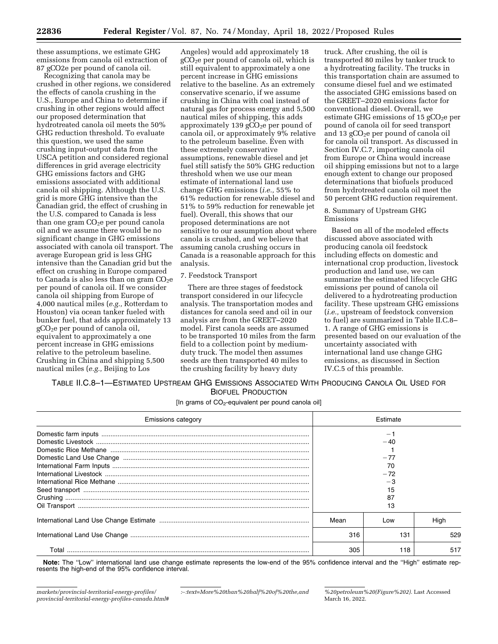these assumptions, we estimate GHG emissions from canola oil extraction of 87 gCO2e per pound of canola oil.

Recognizing that canola may be crushed in other regions, we considered the effects of canola crushing in the U.S., Europe and China to determine if crushing in other regions would affect our proposed determination that hydrotreated canola oil meets the 50% GHG reduction threshold. To evaluate this question, we used the same crushing input-output data from the USCA petition and considered regional differences in grid average electricity GHG emissions factors and GHG emissions associated with additional canola oil shipping. Although the U.S. grid is more GHG intensive than the Canadian grid, the effect of crushing in the U.S. compared to Canada is less than one gram  $CO<sub>2</sub>e$  per pound canola oil and we assume there would be no significant change in GHG emissions associated with canola oil transport. The average European grid is less GHG intensive than the Canadian grid but the effect on crushing in Europe compared to Canada is also less than on gram  $CO<sub>2</sub>e$ per pound of canola oil. If we consider canola oil shipping from Europe of 4,000 nautical miles (*e.g.,* Rotterdam to Houston) via ocean tanker fueled with bunker fuel, that adds approximately 13  $gCO<sub>2</sub>e$  per pound of canola oil, equivalent to approximately a one percent increase in GHG emissions relative to the petroleum baseline. Crushing in China and shipping 5,500 nautical miles (*e.g.,* Beijing to Los

Angeles) would add approximately 18  $gC\overline{O}_2e$  per pound of canola oil, which is still equivalent to approximately a one percent increase in GHG emissions relative to the baseline. As an extremely conservative scenario, if we assume crushing in China with coal instead of natural gas for process energy and 5,500 nautical miles of shipping, this adds approximately 139  $gCO<sub>2</sub>e$  per pound of canola oil, or approximately 9% relative to the petroleum baseline. Even with these extremely conservative assumptions, renewable diesel and jet fuel still satisfy the 50% GHG reduction threshold when we use our mean estimate of international land use change GHG emissions (*i.e.,* 55% to 61% reduction for renewable diesel and 51% to 59% reduction for renewable jet fuel). Overall, this shows that our proposed determinations are not sensitive to our assumption about where canola is crushed, and we believe that assuming canola crushing occurs in Canada is a reasonable approach for this analysis.

## 7. Feedstock Transport

There are three stages of feedstock transport considered in our lifecycle analysis. The transportation modes and distances for canola seed and oil in our analysis are from the GREET–2020 model. First canola seeds are assumed to be transported 10 miles from the farm field to a collection point by mediumduty truck. The model then assumes seeds are then transported 40 miles to the crushing facility by heavy duty

truck. After crushing, the oil is transported 80 miles by tanker truck to a hydrotreating facility. The trucks in this transportation chain are assumed to consume diesel fuel and we estimated the associated GHG emissions based on the GREET–2020 emissions factor for conventional diesel. Overall, we estimate GHG emissions of 15  $gCO<sub>2</sub>e$  per pound of canola oil for seed transport and 13 gCO<sub>2</sub>e per pound of canola oil for canola oil transport. As discussed in Section IV.C.7, importing canola oil from Europe or China would increase oil shipping emissions but not to a large enough extent to change our proposed determinations that biofuels produced from hydrotreated canola oil meet the 50 percent GHG reduction requirement.

### 8. Summary of Upstream GHG Emissions

Based on all of the modeled effects discussed above associated with producing canola oil feedstock including effects on domestic and international crop production, livestock production and land use, we can summarize the estimated lifecycle GHG emissions per pound of canola oil delivered to a hydrotreating production facility. These upstream GHG emissions (*i.e.,* upstream of feedstock conversion to fuel) are summarized in Table II.C.8– 1. A range of GHG emissions is presented based on our evaluation of the uncertainty associated with international land use change GHG emissions, as discussed in Section IV.C.5 of this preamble.

TABLE II.C.8–1—ESTIMATED UPSTREAM GHG EMISSIONS ASSOCIATED WITH PRODUCING CANOLA OIL USED FOR BIOFUEL PRODUCTION

[In grams of  $CO<sub>2</sub>$ -equivalent per pound canola oil]

| <b>Emissions category</b> | Estimate |       |      |  |
|---------------------------|----------|-------|------|--|
|                           |          |       |      |  |
|                           |          | $-40$ |      |  |
|                           |          |       |      |  |
|                           | $-77$    |       |      |  |
|                           | 70       |       |      |  |
|                           | $-72$    |       |      |  |
|                           | $-3$     |       |      |  |
|                           | 15       |       |      |  |
|                           | 87       |       |      |  |
|                           | 13       |       |      |  |
|                           | Mean     | Low   | Hiah |  |
|                           | 316      | 131   | 529  |  |
| Total                     | 305      | 118   | 517  |  |

**Note:** The ''Low'' international land use change estimate represents the low-end of the 95% confidence interval and the ''High'' estimate represents the high-end of the 95% confidence interval.

*:*∼*[:text=More%20than%20half%20of%20the,and](https://www.cer-rec.gc.ca/en/data-analysis/energy-markets/provincial-territorial-energy-profiles/provincial-territorial-energy-profiles-canada.html#:~:text=More%20than%20half%20of%20the,and%20petroleum%20(Figure%202)) [%20petroleum%20\(Figure%202\).](https://www.cer-rec.gc.ca/en/data-analysis/energy-markets/provincial-territorial-energy-profiles/provincial-territorial-energy-profiles-canada.html#:~:text=More%20than%20half%20of%20the,and%20petroleum%20(Figure%202))* Last Accessed March 16, 2022.

*[markets/provincial-territorial-energy-profiles/](https://www.cer-rec.gc.ca/en/data-analysis/energy-markets/provincial-territorial-energy-profiles/provincial-territorial-energy-profiles-canada.html#:~:text=More%20than%20half%20of%20the,and%20petroleum%20(Figure%202))  [provincial-territorial-energy-profiles-canada.html#](https://www.cer-rec.gc.ca/en/data-analysis/energy-markets/provincial-territorial-energy-profiles/provincial-territorial-energy-profiles-canada.html#:~:text=More%20than%20half%20of%20the,and%20petroleum%20(Figure%202))*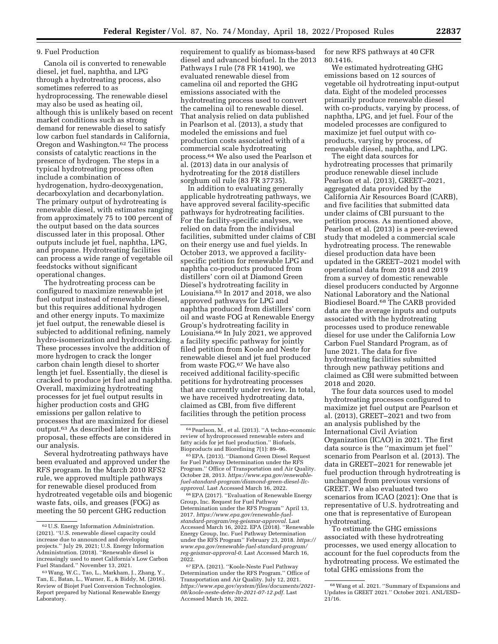## 9. Fuel Production

Canola oil is converted to renewable diesel, jet fuel, naphtha, and LPG through a hydrotreating process, also sometimes referred to as hydroprocessing. The renewable diesel may also be used as heating oil, although this is unlikely based on recent market conditions such as strong demand for renewable diesel to satisfy low carbon fuel standards in California, Oregon and Washington.62 The process consists of catalytic reactions in the presence of hydrogen. The steps in a typical hydrotreating process often include a combination of hydrogenation, hydro-deoxygenation, decarboxylation and decarbonylation. The primary output of hydrotreating is renewable diesel, with estimates ranging from approximately 75 to 100 percent of the output based on the data sources discussed later in this proposal. Other outputs include jet fuel, naphtha, LPG, and propane. Hydrotreating facilities can process a wide range of vegetable oil feedstocks without significant operational changes.

The hydrotreating process can be configured to maximize renewable jet fuel output instead of renewable diesel, but this requires additional hydrogen and other energy inputs. To maximize jet fuel output, the renewable diesel is subjected to additional refining, namely hydro-isomerization and hydrocracking. These processes involve the addition of more hydrogen to crack the longer carbon chain length diesel to shorter length jet fuel. Essentially, the diesel is cracked to produce jet fuel and naphtha. Overall, maximizing hydrotreating processes for jet fuel output results in higher production costs and GHG emissions per gallon relative to processes that are maximized for diesel output.63 As described later in this proposal, these effects are considered in our analysis.

Several hydrotreating pathways have been evaluated and approved under the RFS program. In the March 2010 RFS2 rule, we approved multiple pathways for renewable diesel produced from hydrotreated vegetable oils and biogenic waste fats, oils, and greases (FOG) as meeting the 50 percent GHG reduction

requirement to qualify as biomass-based diesel and advanced biofuel. In the 2013 Pathways I rule (78 FR 14190), we evaluated renewable diesel from camelina oil and reported the GHG emissions associated with the hydrotreating process used to convert the camelina oil to renewable diesel. That analysis relied on data published in Pearlson et al. (2013), a study that modeled the emissions and fuel production costs associated with of a commercial scale hydrotreating process.64 We also used the Pearlson et al. (2013) data in our analysis of hydrotreating for the 2018 distillers sorghum oil rule (83 FR 37735).

In addition to evaluating generally applicable hydrotreating pathways, we have approved several facility-specific pathways for hydrotreating facilities. For the facility-specific analyses, we relied on data from the individual facilities, submitted under claims of CBI on their energy use and fuel yields. In October 2013, we approved a facilityspecific petition for renewable LPG and naphtha co-products produced from distillers' corn oil at Diamond Green Diesel's hydrotreating facility in Louisiana.65 In 2017 and 2018, we also approved pathways for LPG and naphtha produced from distillers' corn oil and waste FOG at Renewable Energy Group's hydrotreating facility in Louisiana.66 In July 2021, we approved a facility specific pathway for jointly filed petition from Koole and Neste for renewable diesel and jet fuel produced from waste FOG.67 We have also received additional facility-specific petitions for hydrotreating processes that are currently under review. In total, we have received hydrotreating data, claimed as CBI, from five different facilities through the petition process

66EPA (2017). ''Evaluation of Renewable Energy Group, Inc. Request for Fuel Pathway Determination under the RFS Program'' April 13, 2017. *[https://www.epa.gov/renewable-fuel](https://www.epa.gov/renewable-fuel-standard-program/reg-geismar-approval)[standard-program/reg-geismar-approval.](https://www.epa.gov/renewable-fuel-standard-program/reg-geismar-approval)* Last Accessed March 16, 2022. EPA (2018). ''Renewable Energy Group, Inc. Fuel Pathway Determination under the RFS Program'' February 23, 2018. *[https://](https://www.epa.gov/renewable-fuel-standard-program/reg-geismar-approval-0) [www.epa.gov/renewable-fuel-standard-program/](https://www.epa.gov/renewable-fuel-standard-program/reg-geismar-approval-0) [reg-geismar-approval-0.](https://www.epa.gov/renewable-fuel-standard-program/reg-geismar-approval-0)* Last Accessed March 16, 2022.

67EPA. (2021). ''Koole-Neste Fuel Pathway Determination under the RFS Program.'' Office of Transportation and Air Quality. July 12, 2021. *[https://www.epa.gov/system/files/documents/2021-](https://www.epa.gov/system/files/documents/2021-08/koole-neste-deter-ltr-2021-07-12.pdf)  [08/koole-neste-deter-ltr-2021-07-12.pdf.](https://www.epa.gov/system/files/documents/2021-08/koole-neste-deter-ltr-2021-07-12.pdf)* Last Accessed March 16, 2022.

for new RFS pathways at 40 CFR 80.1416.

We estimated hydrotreating GHG emissions based on 12 sources of vegetable oil hydrotreating input-output data. Eight of the modeled processes primarily produce renewable diesel with co-products, varying by process, of naphtha, LPG, and jet fuel. Four of the modeled processes are configured to maximize jet fuel output with coproducts, varying by process, of renewable diesel, naphtha, and LPG.

The eight data sources for hydrotreating processes that primarily produce renewable diesel include Pearlson et al. (2013), GREET–2021, aggregated data provided by the California Air Resources Board (CARB), and five facilities that submitted data under claims of CBI pursuant to the petition process. As mentioned above, Pearlson et al. (2013) is a peer-reviewed study that modeled a commercial scale hydrotreating process. The renewable diesel production data have been updated in the GREET–2021 model with operational data from 2018 and 2019 from a survey of domestic renewable diesel producers conducted by Argonne National Laboratory and the National Biodiesel Board.68 The CARB provided data are the average inputs and outputs associated with the hydrotreating processes used to produce renewable diesel for use under the California Low Carbon Fuel Standard Program, as of June 2021. The data for five hydrotreating facilities submitted through new pathway petitions and claimed as CBI were submitted between 2018 and 2020.

The four data sources used to model hydrotreating processes configured to maximize jet fuel output are Pearlson et al. (2013), GREET–2021 and two from an analysis published by the International Civil Aviation Organization (ICAO) in 2021. The first data source is the ''maximum jet fuel'' scenario from Pearlson et al. (2013). The data in GREET–2021 for renewable jet fuel production through hydrotreating is unchanged from previous versions of GREET. We also evaluated two scenarios from ICAO (2021): One that is representative of U.S. hydrotreating and one that is representative of European hydrotreating.

To estimate the GHG emissions associated with these hydrotreating processes, we used energy allocation to account for the fuel coproducts from the hydrotreating process. We estimated the total GHG emissions from the

 $^{62}\, \rm{U.S.}$  Energy Information Administration. (2021). ''U.S. renewable diesel capacity could increase due to announced and developing projects.'' July 29, 2021; U.S. Energy Information Administration. (2018). ''Renewable diesel is increasingly used to meet California's Low Carbon Fuel Standard.'' November 13, 2021.

<sup>63</sup>Wang, W.C., Tao, L., Markham, J., Zhang, Y., Tan, E., Batan, L., Warner, E., & Biddy, M. (2016). Review of Biojet Fuel Conversion Technologies. Report prepared by National Renewable Energy Laboratory.

<sup>64</sup>Pearlson, M., et al. (2013). ''A techno-economic review of hydroprocessed renewable esters and fatty acids for jet fuel production.'' Biofuels,

<sup>65</sup> EPA. (2013). "Diamond Green Diesel Request for Fuel Pathway Determination under the RFS Program.'' Office of Transportation and Air Quality. October 28, 2013. *[https://www.epa.gov/renewable](https://www.epa.gov/renewable-fuel-standard-program/diamond-green-diesel-llc-approval)[fuel-standard-program/diamond-green-diesel-llc](https://www.epa.gov/renewable-fuel-standard-program/diamond-green-diesel-llc-approval)[approval.](https://www.epa.gov/renewable-fuel-standard-program/diamond-green-diesel-llc-approval)* Last Accessed March 16, 2022.

<sup>68</sup>Wang et al. 2021. ''Summary of Expansions and Updates in GREET 2021.'' October 2021. ANL/ESD–  $21/16$ .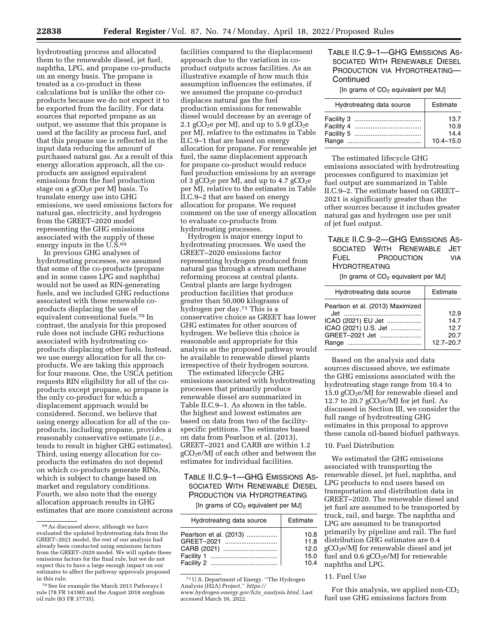hydrotreating process and allocated them to the renewable diesel, jet fuel, naphtha, LPG, and propane co-products on an energy basis. The propane is treated as a co-product in these calculations but is unlike the other coproducts because we do not expect it to be exported from the facility. For data sources that reported propane as an output, we assume that this propane is used at the facility as process fuel, and that this propane use is reflected in the input data reducing the amount of purchased natural gas. As a result of this energy allocation approach, all the coproducts are assigned equivalent emissions from the fuel production stage on a  $gCO<sub>2</sub>e$  per MJ basis. To translate energy use into GHG emissions, we used emissions factors for natural gas, electricity, and hydrogen from the GREET–2020 model representing the GHG emissions associated with the supply of these energy inputs in the U.S.<sup>69</sup>

In previous GHG analyses of hydrotreating processes, we assumed that some of the co-products (propane and in some cases LPG and naphtha) would not be used as RIN-generating fuels, and we included GHG reductions associated with these renewable coproducts displacing the use of equivalent conventional fuels.70 In contrast, the analysis for this proposed rule does not include GHG reductions associated with hydrotreating coproducts displacing other fuels. Instead, we use energy allocation for all the coproducts. We are taking this approach for four reasons. One, the USCA petition requests RIN eligibility for all of the coproducts except propane, so propane is the only co-product for which a displacement approach would be considered. Second, we believe that using energy allocation for all of the coproducts, including propane, provides a reasonably conservative estimate (*i.e.,*  tends to result in higher GHG estimates). Third, using energy allocation for coproducts the estimates do not depend on which co-products generate RINs, which is subject to change based on market and regulatory conditions. Fourth, we also note that the energy allocation approach results in GHG estimates that are more consistent across

facilities compared to the displacement approach due to the variation in coproduct outputs across facilities. As an illustrative example of how much this assumption influences the estimates, if we assumed the propane co-product displaces natural gas the fuel production emissions for renewable diesel would decrease by an average of 2.1 gCO<sub>2</sub>e per MJ, and up to  $5.9$  gCO<sub>2</sub>e per MJ, relative to the estimates in Table II.C.9–1 that are based on energy allocation for propane. For renewable jet fuel, the same displacement approach for propane co-product would reduce fuel production emissions by an average of 3 gCO<sub>2</sub>e per MJ, and up to 4.7 gCO<sub>2</sub>e per MJ, relative to the estimates in Table II.C.9–2 that are based on energy allocation for propane. We request comment on the use of energy allocation to evaluate co-products from hydrotreating processes.

Hydrogen is major energy input to hydrotreating processes. We used the GREET–2020 emissions factor representing hydrogen produced from natural gas through a stream methane reforming process at central plants. Central plants are large hydrogen production facilities that produce greater than 50,000 kilograms of hydrogen per day.71 This is a conservative choice as GREET has lower GHG estimates for other sources of hydrogen. We believe this choice is reasonable and appropriate for this analysis as the proposed pathway would be available to renewable diesel plants irrespective of their hydrogen sources.

The estimated lifecycle GHG emissions associated with hydrotreating processes that primarily produce renewable diesel are summarized in Table II.C.9–1. As shown in the table, the highest and lowest estimates are based on data from two of the facilityspecific petitions. The estimates based on data from Pearlson et al. (2013), GREET–2021 and CARB are within 1.2 gCO2e/MJ of each other and between the estimates for individual facilities.

TABLE II.C.9–1—GHG EMISSIONS AS-SOCIATED WITH RENEWABLE DIESEL PRODUCTION VIA HYDROTREATING

[In grams of CO<sub>2</sub> equivalent per MJ]

| Hydrotreating data source | Estimate |
|---------------------------|----------|
| Pearlson et al. (2013)    | 10.8     |
| GREET-2021                | 11.8     |
| CARB (2021)               | 12.0     |
|                           | 15.0     |
|                           | 10.4     |

71U.S. Department of Energy. ''The Hydrogen Analysis (H2A) Project.'' *[https://](https://www.hydrogen.energy.gov/h2a_analysis.html)*

*[www.hydrogen.energy.gov/h2a](https://www.hydrogen.energy.gov/h2a_analysis.html)*\_*analysis.html.* Last accessed March 16, 2022.

# TABLE II.C.9–1—GHG EMISSIONS AS-SOCIATED WITH RENEWABLE DIESEL PRODUCTION VIA HYDROTREATING-Continued

[In grams of CO<sub>2</sub> equivalent per MJ]

| Hydrotreating data source | Estimate      |  |
|---------------------------|---------------|--|
|                           | 13.7          |  |
|                           | 10.9          |  |
|                           | 14.4          |  |
|                           | $10.4 - 15.0$ |  |

The estimated lifecycle GHG emissions associated with hydrotreating processes configured to maximize jet fuel output are summarized in Table II.C.9–2. The estimate based on GREET– 2021 is significantly greater than the other sources because it includes greater natural gas and hydrogen use per unit of jet fuel output.

## TABLE II.C.9–2—GHG EMISSIONS AS-SOCIATED WITH RENEWABLE JET FUEL PRODUCTION VIA HYDROTREATING

[In grams of CO<sub>2</sub> equivalent per MJ]

| Hydrotreating data source                                                                        | Estimate                                      |
|--------------------------------------------------------------------------------------------------|-----------------------------------------------|
| Pearlson et al. (2013) Maximized<br>ICAO (2021) EU Jet<br>ICAO (2021) U.S. Jet<br>GREET-2021 Jet | 12.9<br>14.7<br>12.7<br>20.7<br>$12.7 - 20.7$ |
|                                                                                                  |                                               |

Based on the analysis and data sources discussed above, we estimate the GHG emissions associated with the hydrotreating stage range from 10.4 to 15.0  $gCO<sub>2</sub>e/M$ ] for renewable diesel and 12.7 to 20.7  $gCO<sub>2</sub>e/M$  for jet fuel. As discussed in Section III, we consider the full range of hydrotreating GHG estimates in this proposal to approve these canola oil-based biofuel pathways.

### 10. Fuel Distribution

We estimated the GHG emissions associated with transporting the renewable diesel, jet fuel, naphtha, and LPG products to end users based on transportation and distribution data in GREET–2020. The renewable diesel and jet fuel are assumed to be transported by truck, rail, and barge. The naphtha and LPG are assumed to be transported primarily by pipeline and rail. The fuel distribution GHG estimates are 0.4 gCO2e/MJ for renewable diesel and jet fuel and  $0.6$  gCO<sub>2</sub>e/MJ for renewable naphtha and LPG.

## 11. Fuel Use

For this analysis, we applied non- $CO<sub>2</sub>$ fuel use GHG emissions factors from

<sup>69</sup>As discussed above, although we have evaluated the updated hydrotreating data from the GREET–2021 model, the rest of our analysis had already been conducted using emissions factors from the GREET–2020 model. We will update these emissions factors for the final rule, but we do not expect this to have a large enough impact on our estimates to affect the pathway approvals proposed in this rule.

<sup>70</sup>See for example the March 2013 Pathways I rule (78 FR 14190) and the August 2018 sorghum oil rule (83 FR 37735).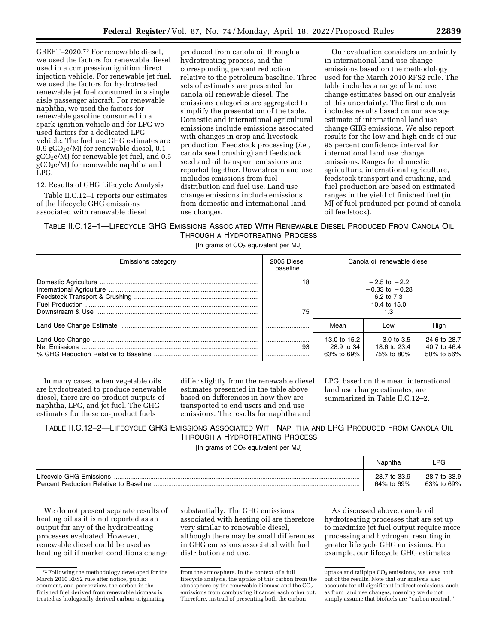GREET–2020.72 For renewable diesel, we used the factors for renewable diesel used in a compression ignition direct injection vehicle. For renewable jet fuel, we used the factors for hydrotreated renewable jet fuel consumed in a single aisle passenger aircraft. For renewable naphtha, we used the factors for renewable gasoline consumed in a spark-ignition vehicle and for LPG we used factors for a dedicated LPG vehicle. The fuel use GHG estimates are 0.9  $gCO<sub>2</sub>e/M$ ] for renewable diesel, 0.1  $gCO<sub>2</sub>e/MJ$  for renewable jet fuel, and 0.5 gCO2e/MJ for renewable naphtha and LPG.

### 12. Results of GHG Lifecycle Analysis

Table II.C.12–1 reports our estimates of the lifecycle GHG emissions associated with renewable diesel

produced from canola oil through a hydrotreating process, and the corresponding percent reduction relative to the petroleum baseline. Three sets of estimates are presented for canola oil renewable diesel. The emissions categories are aggregated to simplify the presentation of the table. Domestic and international agricultural emissions include emissions associated with changes in crop and livestock production. Feedstock processing (*i.e.,*  canola seed crushing) and feedstock seed and oil transport emissions are reported together. Downstream and use includes emissions from fuel distribution and fuel use. Land use change emissions include emissions from domestic and international land use changes.

Our evaluation considers uncertainty in international land use change emissions based on the methodology used for the March 2010 RFS2 rule. The table includes a range of land use change estimates based on our analysis of this uncertainty. The first column includes results based on our average estimate of international land use change GHG emissions. We also report results for the low and high ends of our 95 percent confidence interval for international land use change emissions. Ranges for domestic agriculture, international agriculture, feedstock transport and crushing, and fuel production are based on estimated ranges in the yield of finished fuel (in MJ of fuel produced per pound of canola oil feedstock).

## TABLE II.C.12–1—LIFECYCLE GHG EMISSIONS ASSOCIATED WITH RENEWABLE DIESEL PRODUCED FROM CANOLA OIL THROUGH A HYDROTREATING PROCESS

[In grams of CO<sub>2</sub> equivalent per MJ]

| Emissions category | 2005 Diesel<br>baseline | Canola oil renewable diesel                                                 |                                                     |                                            |  |
|--------------------|-------------------------|-----------------------------------------------------------------------------|-----------------------------------------------------|--------------------------------------------|--|
|                    | 18<br>75                | $-2.5$ to $-2.2$<br>$-0.33$ to $-0.28$<br>6.2 to 7.3<br>10.4 to 15.0<br>1.3 |                                                     |                                            |  |
|                    |                         | Mean                                                                        | Low                                                 | High                                       |  |
|                    | <u>  </u><br>93         | 13.0 to 15.2<br>28.9 to 34<br>63% to 69%                                    | $3.0 \text{ to } 3.5$<br>18.6 to 23.4<br>75% to 80% | 24.6 to 28.7<br>40.7 to 46.4<br>50% to 56% |  |

In many cases, when vegetable oils are hydrotreated to produce renewable diesel, there are co-product outputs of naphtha, LPG, and jet fuel. The GHG estimates for these co-product fuels

differ slightly from the renewable diesel estimates presented in the table above based on differences in how they are transported to end users and end use emissions. The results for naphtha and

LPG, based on the mean international land use change estimates, are summarized in Table II.C.12–2.

# TABLE II.C.12–2—LIFECYCLE GHG EMISSIONS ASSOCIATED WITH NAPHTHA AND LPG PRODUCED FROM CANOLA OIL THROUGH A HYDROTREATING PROCESS

[In grams of CO<sub>2</sub> equivalent per MJ]

|                                        | Naphtha      | ∟PG.         |
|----------------------------------------|--------------|--------------|
|                                        | 28.7 to 33.9 | 28.7 to 33.9 |
| Percent Reduction Relative to Baseline | 64% to 69%   | 63% to 69%   |

We do not present separate results of heating oil as it is not reported as an output for any of the hydrotreating processes evaluated. However, renewable diesel could be used as heating oil if market conditions change substantially. The GHG emissions associated with heating oil are therefore very similar to renewable diesel, although there may be small differences in GHG emissions associated with fuel distribution and use.

As discussed above, canola oil hydrotreating processes that are set up to maximize jet fuel output require more processing and hydrogen, resulting in greater lifecycle GHG emissions. For example, our lifecycle GHG estimates

<sup>72</sup>Following the methodology developed for the March 2010 RFS2 rule after notice, public comment, and peer review, the carbon in the finished fuel derived from renewable biomass is treated as biologically derived carbon originating

from the atmosphere. In the context of a full lifecycle analysis, the uptake of this carbon from the atmosphere by the renewable biomass and the CO<sub>2</sub> emissions from combusting it cancel each other out. Therefore, instead of presenting both the carbon

uptake and tailpipe  $CO<sub>2</sub>$  emissions, we leave both out of the results. Note that our analysis also accounts for all significant indirect emissions, such as from land use changes, meaning we do not simply assume that biofuels are ''carbon neutral.''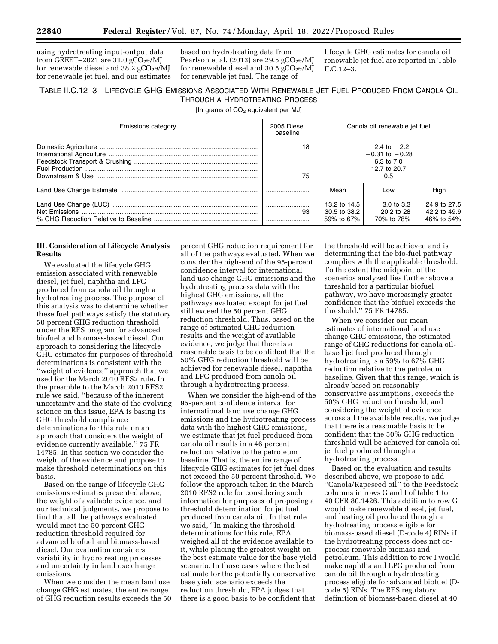using hydrotreating input-output data from GREET-2021 are  $31.0 \text{ gCO}_2\text{e/M}$ for renewable diesel and  $38.2$  gCO<sub>2</sub>e/MJ for renewable jet fuel, and our estimates

based on hydrotreating data from Pearlson et al. (2013) are 29.5  $gCO<sub>2</sub>e/MJ$ for renewable diesel and  $30.5 \text{ gCO}_2\text{e/M}$ for renewable jet fuel. The range of

lifecycle GHG estimates for canola oil renewable jet fuel are reported in Table II.C.12–3.

# TABLE II.C.12–3—LIFECYCLE GHG EMISSIONS ASSOCIATED WITH RENEWABLE JET FUEL PRODUCED FROM CANOLA OIL THROUGH A HYDROTREATING PROCESS

[In grams of  $CO<sub>2</sub>$  equivalent per MJ]

| <b>Emissions category</b> | 2005 Diesel<br>baseline | Canola oil renewable jet fuel                                               |                                                   |                                            |
|---------------------------|-------------------------|-----------------------------------------------------------------------------|---------------------------------------------------|--------------------------------------------|
|                           | 18<br>75                | $-2.4$ to $-2.2$<br>$-0.31$ to $-0.28$<br>6.3 to 7.0<br>12.7 to 20.7<br>0.5 |                                                   |                                            |
|                           |                         | Mean                                                                        | Low                                               | High                                       |
|                           | 93                      | 13.2 to 14.5<br>30.5 to 38.2<br>59% to 67%                                  | $3.0 \text{ to } 3.3$<br>20.2 to 28<br>70% to 78% | 24.9 to 27.5<br>42.2 to 49.9<br>46% to 54% |

## **III. Consideration of Lifecycle Analysis Results**

We evaluated the lifecycle GHG emission associated with renewable diesel, jet fuel, naphtha and LPG produced from canola oil through a hydrotreating process. The purpose of this analysis was to determine whether these fuel pathways satisfy the statutory 50 percent GHG reduction threshold under the RFS program for advanced biofuel and biomass-based diesel. Our approach to considering the lifecycle GHG estimates for purposes of threshold determinations is consistent with the ''weight of evidence'' approach that we used for the March 2010 RFS2 rule. In the preamble to the March 2010 RFS2 rule we said, ''because of the inherent uncertainty and the state of the evolving science on this issue, EPA is basing its GHG threshold compliance determinations for this rule on an approach that considers the weight of evidence currently available.'' 75 FR 14785. In this section we consider the weight of the evidence and propose to make threshold determinations on this basis.

Based on the range of lifecycle GHG emissions estimates presented above, the weight of available evidence, and our technical judgments, we propose to find that all the pathways evaluated would meet the 50 percent GHG reduction threshold required for advanced biofuel and biomass-based diesel. Our evaluation considers variability in hydrotreating processes and uncertainty in land use change emissions.

When we consider the mean land use change GHG estimates, the entire range of GHG reduction results exceeds the 50

percent GHG reduction requirement for all of the pathways evaluated. When we consider the high-end of the 95-percent confidence interval for international land use change GHG emissions and the hydrotreating process data with the highest GHG emissions, all the pathways evaluated except for jet fuel still exceed the 50 percent GHG reduction threshold. Thus, based on the range of estimated GHG reduction results and the weight of available evidence, we judge that there is a reasonable basis to be confident that the 50% GHG reduction threshold will be achieved for renewable diesel, naphtha and LPG produced from canola oil through a hydrotreating process.

When we consider the high-end of the 95-percent confidence interval for international land use change GHG emissions and the hydrotreating process data with the highest GHG emissions, we estimate that jet fuel produced from canola oil results in a 46 percent reduction relative to the petroleum baseline. That is, the entire range of lifecycle GHG estimates for jet fuel does not exceed the 50 percent threshold. We follow the approach taken in the March 2010 RFS2 rule for considering such information for purposes of proposing a threshold determination for jet fuel produced from canola oil. In that rule we said, ''In making the threshold determinations for this rule, EPA weighed all of the evidence available to it, while placing the greatest weight on the best estimate value for the base yield scenario. In those cases where the best estimate for the potentially conservative base yield scenario exceeds the reduction threshold, EPA judges that there is a good basis to be confident that

the threshold will be achieved and is determining that the bio-fuel pathway complies with the applicable threshold. To the extent the midpoint of the scenarios analyzed lies further above a threshold for a particular biofuel pathway, we have increasingly greater confidence that the biofuel exceeds the threshold.'' 75 FR 14785.

When we consider our mean estimates of international land use change GHG emissions, the estimated range of GHG reductions for canola oilbased jet fuel produced through hydrotreating is a 59% to 67% GHG reduction relative to the petroleum baseline. Given that this range, which is already based on reasonably conservative assumptions, exceeds the 50% GHG reduction threshold, and considering the weight of evidence across all the available results, we judge that there is a reasonable basis to be confident that the 50% GHG reduction threshold will be achieved for canola oil jet fuel produced through a hydrotreating process.

Based on the evaluation and results described above, we propose to add ''Canola/Rapeseed oil'' to the Feedstock columns in rows G and I of table 1 to 40 CFR 80.1426. This addition to row G would make renewable diesel, jet fuel, and heating oil produced through a hydrotreating process eligible for biomass-based diesel (D-code 4) RINs if the hydrotreating process does not coprocess renewable biomass and petroleum. This addition to row I would make naphtha and LPG produced from canola oil through a hydrotreating process eligible for advanced biofuel (Dcode 5) RINs. The RFS regulatory definition of biomass-based diesel at 40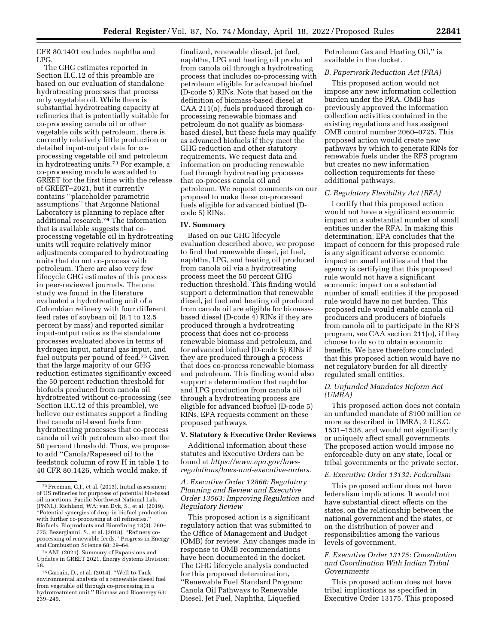CFR 80.1401 excludes naphtha and LPG.

The GHG estimates reported in Section II.C.12 of this preamble are based on our evaluation of standalone hydrotreating processes that process only vegetable oil. While there is substantial hydrotreating capacity at refineries that is potentially suitable for co-processing canola oil or other vegetable oils with petroleum, there is currently relatively little production or detailed input-output data for coprocessing vegetable oil and petroleum in hydrotreating units.73 For example, a co-processing module was added to GREET for the first time with the release of GREET–2021, but it currently contains ''placeholder parametric assumptions'' that Argonne National Laboratory is planning to replace after additional research.74 The information that is available suggests that coprocessing vegetable oil in hydrotreating units will require relatively minor adjustments compared to hydrotreating units that do not co-process with petroleum. There are also very few lifecycle GHG estimates of this process in peer-reviewed journals. The one study we found in the literature evaluated a hydrotreating unit of a Colombian refinery with four different feed rates of soybean oil (8.1 to 12.5 percent by mass) and reported similar input-output ratios as the standalone processes evaluated above in terms of hydrogen input, natural gas input, and fuel outputs per pound of feed.75 Given that the large majority of our GHG reduction estimates significantly exceed the 50 percent reduction threshold for biofuels produced from canola oil hydrotreated without co-processing (see Section II.C.12 of this preamble), we believe our estimates support a finding that canola oil-based fuels from hydrotreating processes that co-process canola oil with petroleum also meet the 50 percent threshold. Thus, we propose to add ''Canola/Rapeseed oil to the feedstock column of row H in table 1 to 40 CFR 80.1426, which would make, if

finalized, renewable diesel, jet fuel, naphtha, LPG and heating oil produced from canola oil through a hydrotreating process that includes co-processing with petroleum eligible for advanced biofuel (D-code 5) RINs. Note that based on the definition of biomass-based diesel at CAA 211(o), fuels produced through coprocessing renewable biomass and petroleum do not qualify as biomassbased diesel, but these fuels may qualify as advanced biofuels if they meet the GHG reduction and other statutory requirements. We request data and information on producing renewable fuel through hydrotreating processes that co-process canola oil and petroleum. We request comments on our proposal to make these co-processed fuels eligible for advanced biofuel (Dcode 5) RINs.

### **IV. Summary**

Based on our GHG lifecycle evaluation described above, we propose to find that renewable diesel, jet fuel, naphtha, LPG, and heating oil produced from canola oil via a hydrotreating process meet the 50 percent GHG reduction threshold. This finding would support a determination that renewable diesel, jet fuel and heating oil produced from canola oil are eligible for biomassbased diesel (D-code 4) RINs if they are produced through a hydrotreating process that does not co-process renewable biomass and petroleum, and for advanced biofuel (D-code 5) RINs if they are produced through a process that does co-process renewable biomass and petroleum. This finding would also support a determination that naphtha and LPG production from canola oil through a hydrotreating process are eligible for advanced biofuel (D-code 5) RINs. EPA requests comment on these proposed pathways.

#### **V. Statutory & Executive Order Reviews**

Additional information about these statutes and Executive Orders can be found at *[https://www.epa.gov/laws](https://www.epa.gov/laws-regulations/laws-and-executive-orders)[regulations/laws-and-executive-orders.](https://www.epa.gov/laws-regulations/laws-and-executive-orders)* 

## *A. Executive Order 12866: Regulatory Planning and Review and Executive Order 13563: Improving Regulation and Regulatory Review*

This proposed action is a significant regulatory action that was submitted to the Office of Management and Budget (OMB) for review. Any changes made in response to OMB recommendations have been documented in the docket. The GHG lifecycle analysis conducted for this proposed determination, ''Renewable Fuel Standard Program: Canola Oil Pathways to Renewable Diesel, Jet Fuel, Naphtha, Liquefied

Petroleum Gas and Heating Oil,'' is available in the docket.

## *B. Paperwork Reduction Act (PRA)*

This proposed action would not impose any new information collection burden under the PRA. OMB has previously approved the information collection activities contained in the existing regulations and has assigned OMB control number 2060–0725. This proposed action would create new pathways by which to generate RINs for renewable fuels under the RFS program but creates no new information collection requirements for these additional pathways.

### *C. Regulatory Flexibility Act (RFA)*

I certify that this proposed action would not have a significant economic impact on a substantial number of small entities under the RFA. In making this determination, EPA concludes that the impact of concern for this proposed rule is any significant adverse economic impact on small entities and that the agency is certifying that this proposed rule would not have a significant economic impact on a substantial number of small entities if the proposed rule would have no net burden. This proposed rule would enable canola oil producers and producers of biofuels from canola oil to participate in the RFS program, see CAA section 211(o), if they choose to do so to obtain economic benefits. We have therefore concluded that this proposed action would have no net regulatory burden for all directly regulated small entities.

## *D. Unfunded Mandates Reform Act (UMRA)*

This proposed action does not contain an unfunded mandate of \$100 million or more as described in UMRA, 2 U.S.C. 1531–1538, and would not significantly or uniquely affect small governments. The proposed action would impose no enforceable duty on any state, local or tribal governments or the private sector.

### *E. Executive Order 13132: Federalism*

This proposed action does not have federalism implications. It would not have substantial direct effects on the states, on the relationship between the national government and the states, or on the distribution of power and responsibilities among the various levels of government.

## *F. Executive Order 13175: Consultation and Coordination With Indian Tribal Governments*

This proposed action does not have tribal implications as specified in Executive Order 13175. This proposed

<sup>73</sup>Freeman, C.J., et al. (2013). Initial assessment of US refineries for purposes of potential bio-based oil insertions, Pacific Northwest National Lab. (PNNL), Richland, WA; van Dyk, S., et al. (2019). ''Potential synergies of drop-in biofuel production with further co-processing at oil refineries. Biofuels, Bioproducts and Biorefining 13(3): 760– 775; Bezergianni, S., et al. (2018). ''Refinery coprocessing of renewable feeds.'' Progress in Energy and Combustion Science 68: 29–64.

<sup>74</sup>ANL (2021). Summary of Expansions and Updates in GREET 2021, Energy Systems Division: 58.

<sup>&</sup>lt;sup>75</sup> Garraín, D., et al. (2014). "Well-to-Tank environmental analysis of a renewable diesel fuel from vegetable oil through co-processing in a hydrotreatment unit.'' Biomass and Bioenergy 63: 239–249.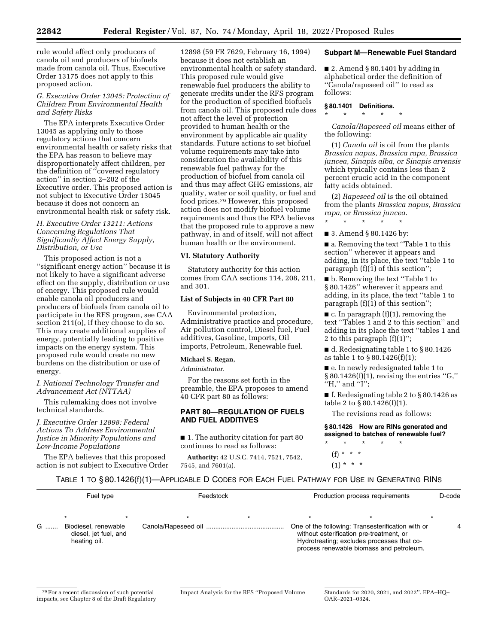rule would affect only producers of canola oil and producers of biofuels made from canola oil. Thus, Executive Order 13175 does not apply to this proposed action.

### *G. Executive Order 13045: Protection of Children From Environmental Health and Safety Risks*

The EPA interprets Executive Order 13045 as applying only to those regulatory actions that concern environmental health or safety risks that the EPA has reason to believe may disproportionately affect children, per the definition of ''covered regulatory action'' in section 2–202 of the Executive order. This proposed action is not subject to Executive Order 13045 because it does not concern an environmental health risk or safety risk.

## *H. Executive Order 13211: Actions Concerning Regulations That Significantly Affect Energy Supply, Distribution, or Use*

This proposed action is not a ''significant energy action'' because it is not likely to have a significant adverse effect on the supply, distribution or use of energy. This proposed rule would enable canola oil producers and producers of biofuels from canola oil to participate in the RFS program, see CAA section 211(o), if they choose to do so. This may create additional supplies of energy, potentially leading to positive impacts on the energy system. This proposed rule would create no new burdens on the distribution or use of energy.

### *I. National Technology Transfer and Advancement Act (NTTAA)*

This rulemaking does not involve technical standards.

*J. Executive Order 12898: Federal Actions To Address Environmental Justice in Minority Populations and Low-Income Populations* 

The EPA believes that this proposed action is not subject to Executive Order

12898 (59 FR 7629, February 16, 1994) because it does not establish an environmental health or safety standard. This proposed rule would give renewable fuel producers the ability to generate credits under the RFS program for the production of specified biofuels from canola oil. This proposed rule does not affect the level of protection provided to human health or the environment by applicable air quality standards. Future actions to set biofuel volume requirements may take into consideration the availability of this renewable fuel pathway for the production of biofuel from canola oil and thus may affect GHG emissions, air quality, water or soil quality, or fuel and food prices.76 However, this proposed action does not modify biofuel volume requirements and thus the EPA believes that the proposed rule to approve a new pathway, in and of itself, will not affect human health or the environment.

## **VI. Statutory Authority**

Statutory authority for this action comes from CAA sections 114, 208, 211, and 301.

# **List of Subjects in 40 CFR Part 80**

Environmental protection, Administrative practice and procedure, Air pollution control, Diesel fuel, Fuel additives, Gasoline, Imports, Oil imports, Petroleum, Renewable fuel.

### **Michael S. Regan,**

*Administrator.* 

For the reasons set forth in the preamble, the EPA proposes to amend 40 CFR part 80 as follows:

## **PART 80—REGULATION OF FUELS AND FUEL ADDITIVES**

■ 1. The authority citation for part 80 continues to read as follows:

**Authority:** 42 U.S.C. 7414, 7521, 7542, 7545, and 7601(a).

### **Subpart M—Renewable Fuel Standard**

 $\blacksquare$  2. Amend § 80.1401 by adding in alphabetical order the definition of ''Canola/rapeseed oil'' to read as follows:

# **§ 80.1401 Definitions.**  \* \* \* \* \*

*Canola/Rapeseed oil* means either of the following:

(1) *Canola oil* is oil from the plants *Brassica napus, Brassica rapa, Brassica juncea, Sinapis alba, or Sinapis arvensis*  which typically contains less than 2 percent erucic acid in the component fatty acids obtained.

(2) *Rapeseed oil* is the oil obtained from the plants *Brassica napus, Brassica rapa,* or *Brassica juncea.*  \* \* \* \* \*

■ 3. Amend § 80.1426 by:

■ a. Removing the text "Table 1 to this section'' wherever it appears and adding, in its place, the text ''table 1 to paragraph (f)(1) of this section'';

■ b. Removing the text "Table 1 to § 80.1426'' wherever it appears and adding, in its place, the text ''table 1 to paragraph (f)(1) of this section'';

 $\blacksquare$  c. In paragraph (f)(1), removing the text ''Tables 1 and 2 to this section'' and adding in its place the text ''tables 1 and 2 to this paragraph  $(f)(1)$ ";

■ d. Redesignating table 1 to § 80.1426 as table 1 to § 80.1426(f)(1);

■ e. In newly redesignated table 1 to  $§ 80.1426(f)(1)$ , revising the entries "G," "H," and "I";

■ f. Redesignating table 2 to § 80.1426 as table 2 to  $\S 80.1426(f)(1)$ .

The revisions read as follows:

**§ 80.1426 How are RINs generated and assigned to batches of renewable fuel?** 

\* \* \* \* \* (f) \* \* \*  $(1) * * * *$ 

### TABLE 1 TO § 80.1426(f)(1)—APPLICABLE D CODES FOR EACH FUEL PATHWAY FOR USE IN GENERATING RINS

|   | Fuel type                                     | Feedstock |  | Production process requirements                                                               |  | D-code |
|---|-----------------------------------------------|-----------|--|-----------------------------------------------------------------------------------------------|--|--------|
| G | Biodiesel, renewable<br>diesel, jet fuel, and |           |  | One of the following: Transesterification with or<br>without esterification pre-treatment, or |  | Δ      |
|   | heating oil.                                  |           |  | Hydrotreating; excludes processes that co-<br>process renewable biomass and petroleum.        |  |        |

<sup>76</sup>For a recent discussion of such potential impacts, see Chapter 8 of the Draft Regulatory

Impact Analysis for the RFS ''Proposed Volume Standards for 2020, 2021, and 2022''. EPA–HQ– OAR–2021–0324.